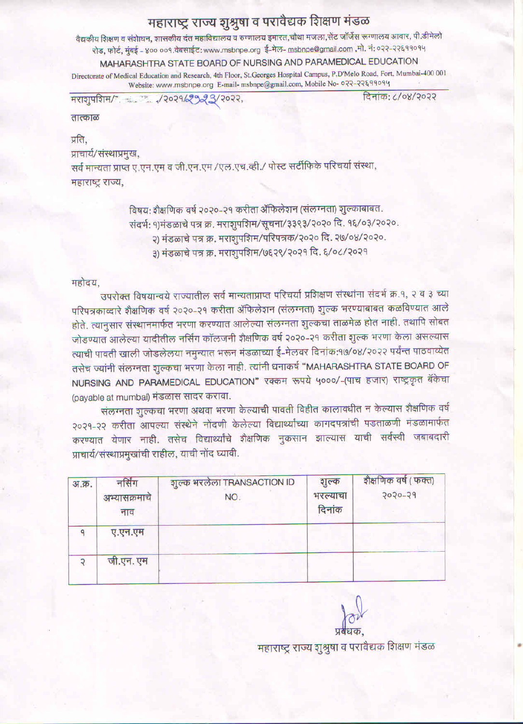## महाराष्ट्र राज्य शुश्रुषा व परावैद्यक शिक्षण मंडळ

वैद्यकीय शिक्षण व संशेष्यन, शासकीय दंत महाविद्यालय व रुग्णालय इमारत,चौथा मजला,सेंट जॉर्जेस रूग्णालय आवार, पी.डीमेलो रोड, फोर्ट, मुंबई - ४०० ००१.वेबसाईट: www.msbnpe.org ई-मेल- msbnpe@gmail.com ,मो. नं: ०२२-२२६११०१५ MAHARASHTRA STATE BOARD OF NURSING AND PARAMEDICAL EDUCATION Directorate of Medical Education and Research, 4th Floor, St.Georges Hospital Campus, P.D'Melo Road, Fort, Mumbai-400 001 Website: www.msbnpe.org E-mail- msbnpe@gmail.com, Mobile No- 022-22899094

32029/2923/2022. मराशुपशिम/

दिनांक: ८/०४/२०२२

तात्काळ

प्रति,

प्राचार्य/संस्थाप्रमुख,

सर्व मान्यता प्राप्त ए.एन.एम व जी.एन.एम /एल.एच.व्ही./ पोस्ट सर्टीफिके परिचर्या संस्था, महाराष्ट्र राज्य,

> विषय: शैक्षणिक वर्ष २०२०-२१ करीता ॲफिलेशन (संलग्नता) शुल्काबाबत. संदर्भ: १)मंडळाचे पत्र क्र. मराशुपशिम/सूचना/३३९३/२०२० दि. १६/०३/२०२०. २) मंडळाचे पत्र क्र. मराशुपशिम/परिपत्रक/२०२० दि. २७/०४/२०२०. ३) मंडळाचे पत्र क्र. मराशुपशिम/७६२९/२०२१ दि. ६/०८/२०२१

## महोदय.

उपरोक्त विषयान्वये राज्यातील सर्व मान्यताप्राप्त परिचर्या प्रशिक्षण संस्थांना संदर्भ क्र.१, २ व ३ च्या परिपत्रकाव्दारे शैक्षणिक वर्ष २०२०-२१ करीता ॲफिलेशन (संलग्नता) शुल्क भरण्याबाबत कळविण्यात आले होते. त्यानुसार संस्थानमार्फत भरणा करण्यात आलेल्या संलग्नता शुल्कचा ताळमेळ होत नाही. तथापि सोबत जोडण्यात आलेल्या यादीतील नर्सिंग कॉलजनी शैक्षणिक वर्ष २०२०-२१ करीता शुल्क भरणा केला असल्यास त्याची पावती खाली जोडलेलया नमुन्यात भरून मंडळाच्या ई-मेलवर दिनांक:१७/०४/२०२२ पर्यन्त पाठवाव्येत तसेच ज्यांनी संलग्नता शुल्कचा भरणा केला नाही. त्यांनी धनाकर्ष "MAHARASHTRA STATE BOARD OF NURSING AND PARAMEDICAL EDUCATION" रक्कम रूपये ५०००/-(पाच हजार) राष्ट्रकृत बॅकेचा (payable at mumbal) मंडळास सादर करावा.

संलग्नता शुल्कचा भरणा अथवा भरणा केल्याची पावती विहीत कालावधीत न केल्यास शैक्षणिक वर्ष २०२१-२२ करीता आपल्या संस्थेने नोंदणी केलेल्या विद्यार्थ्यांच्या कागदपत्रांची पडताळणी मंडळामार्फत करण्यात येणार नाही. तसेच विद्यार्थ्यांचे शैक्षणिक नुकसान झाल्यास याची सर्वस्वी जबाबदारी प्राचार्य/संस्थाप्रमुखांची राहील, याची नोंद घ्यावी.

| अ.क्र. | नर्सिंग<br>अभ्यासक्रमाचे<br>नाव | शुल्क भरलेला TRANSACTION ID<br>NO. | शुल्क<br>भरल्याचा<br>दिनांक | शैक्षणिक वर्ष (फक्त)<br>5050-50 |
|--------|---------------------------------|------------------------------------|-----------------------------|---------------------------------|
|        | ए.एन.एम                         |                                    |                             |                                 |
|        | जी.एन. एम                       |                                    |                             |                                 |

महाराष्ट्र राज्य शुश्रुषा व परावैद्यक शिक्षण मंडळ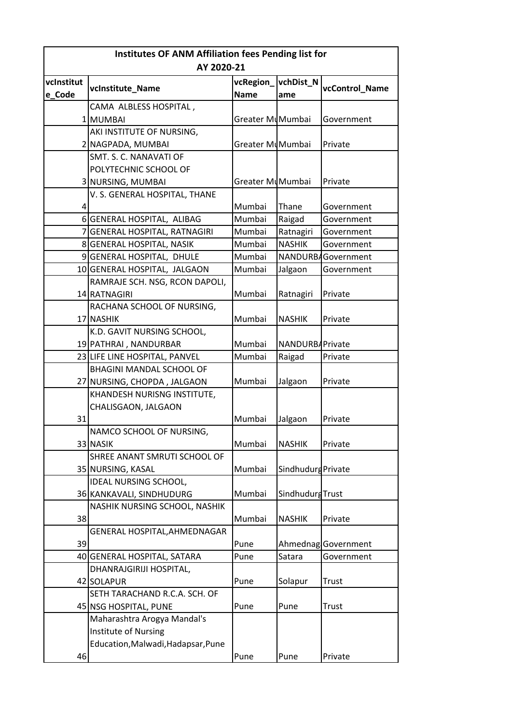| Institutes OF ANM Affiliation fees Pending list for |                                    |                  |                         |                     |
|-----------------------------------------------------|------------------------------------|------------------|-------------------------|---------------------|
|                                                     | AY 2020-21                         |                  |                         |                     |
| vcInstitut                                          |                                    | vcRegion         | vchDist_N               |                     |
| e Code                                              | vcInstitute_Name                   | <b>Name</b>      | ame                     | vcControl_Name      |
|                                                     | CAMA ALBLESS HOSPITAL,             |                  |                         |                     |
|                                                     | 1 MUMBAI                           | Greater MuMumbai |                         | Government          |
|                                                     | AKI INSTITUTE OF NURSING,          |                  |                         |                     |
|                                                     | 2 NAGPADA, MUMBAI                  | Greater MuMumbai |                         | Private             |
|                                                     | SMT. S. C. NANAVATI OF             |                  |                         |                     |
|                                                     | POLYTECHNIC SCHOOL OF              |                  |                         |                     |
|                                                     | 3 NURSING, MUMBAI                  | Greater MuMumbai |                         | Private             |
|                                                     | V. S. GENERAL HOSPITAL, THANE      |                  |                         |                     |
| 4                                                   |                                    | Mumbai           | Thane                   | Government          |
|                                                     | 6 GENERAL HOSPITAL, ALIBAG         | Mumbai           | Raigad                  | Government          |
| $\overline{7}$                                      | <b>GENERAL HOSPITAL, RATNAGIRI</b> | Mumbai           | Ratnagiri               | Government          |
|                                                     | 8 GENERAL HOSPITAL, NASIK          | Mumbai           | <b>NASHIK</b>           | Government          |
|                                                     | 9 GENERAL HOSPITAL, DHULE          | Mumbai           |                         | NANDURBAGovernment  |
|                                                     | 10 GENERAL HOSPITAL, JALGAON       | Mumbai           | Jalgaon                 | Government          |
|                                                     | RAMRAJE SCH. NSG, RCON DAPOLI,     |                  |                         |                     |
|                                                     | 14 RATNAGIRI                       | Mumbai           | Ratnagiri               | Private             |
|                                                     | RACHANA SCHOOL OF NURSING,         |                  |                         |                     |
|                                                     | 17 NASHIK                          | Mumbai           | <b>NASHIK</b>           | Private             |
|                                                     | K.D. GAVIT NURSING SCHOOL,         |                  |                         |                     |
|                                                     | 19 PATHRAI, NANDURBAR              | Mumbai           | NANDURB/Private         |                     |
|                                                     | 23 LIFE LINE HOSPITAL, PANVEL      | Mumbai           | Raigad                  | Private             |
|                                                     | BHAGINI MANDAL SCHOOL OF           |                  |                         |                     |
|                                                     | 27 NURSING, CHOPDA, JALGAON        | Mumbai           | Jalgaon                 | Private             |
|                                                     | KHANDESH NURISNG INSTITUTE,        |                  |                         |                     |
|                                                     | CHALISGAON, JALGAON                |                  |                         |                     |
| 31                                                  |                                    | Mumbai           | Jalgaon                 | Private             |
|                                                     | NAMCO SCHOOL OF NURSING,           |                  |                         |                     |
|                                                     | 33 NASIK                           | Mumbai           | <b>NASHIK</b>           | Private             |
|                                                     | SHREE ANANT SMRUTI SCHOOL OF       |                  |                         |                     |
|                                                     | 35 NURSING, KASAL                  | Mumbai           | Sindhudurg Private      |                     |
|                                                     | <b>IDEAL NURSING SCHOOL,</b>       |                  |                         |                     |
|                                                     | 36 KANKAVALI, SINDHUDURG           | Mumbai           | <b>Sindhudurg Trust</b> |                     |
|                                                     | NASHIK NURSING SCHOOL, NASHIK      |                  |                         |                     |
| 38                                                  |                                    | Mumbai           | <b>NASHIK</b>           | Private             |
|                                                     | GENERAL HOSPITAL, AHMEDNAGAR       |                  |                         |                     |
| 39                                                  |                                    | Pune             |                         | Ahmednag Government |
|                                                     | 40 GENERAL HOSPITAL, SATARA        | Pune             | Satara                  | Government          |
|                                                     | DHANRAJGIRIJI HOSPITAL,            |                  |                         |                     |
|                                                     | 42 SOLAPUR                         | Pune             | Solapur                 | Trust               |
|                                                     | SETH TARACHAND R.C.A. SCH. OF      |                  |                         |                     |
|                                                     | 45 NSG HOSPITAL, PUNE              | Pune             | Pune                    | Trust               |
|                                                     | Maharashtra Arogya Mandal's        |                  |                         |                     |
|                                                     | Institute of Nursing               |                  |                         |                     |
|                                                     | Education, Malwadi, Hadapsar, Pune |                  |                         |                     |
| 46                                                  |                                    | Pune             | Pune                    | Private             |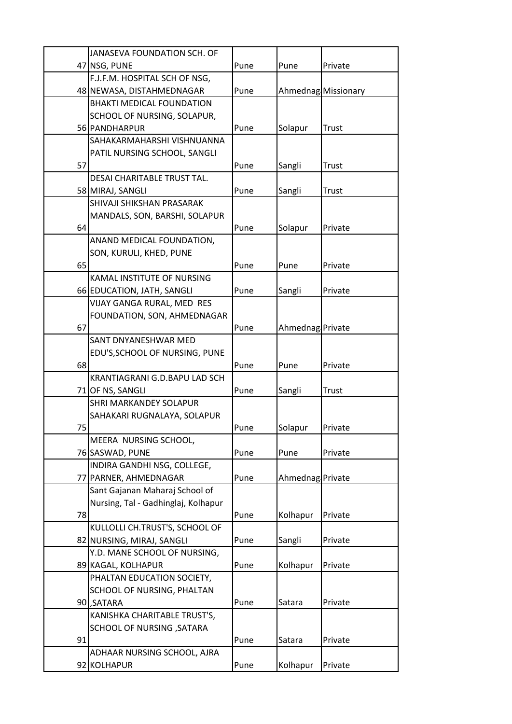|    | JANASEVA FOUNDATION SCH. OF                      |      |                  |                     |
|----|--------------------------------------------------|------|------------------|---------------------|
|    | 47 NSG, PUNE                                     | Pune | Pune             | Private             |
|    | F.J.F.M. HOSPITAL SCH OF NSG,                    |      |                  |                     |
|    | 48 NEWASA, DISTAHMEDNAGAR                        | Pune |                  | Ahmednag Missionary |
|    | <b>BHAKTI MEDICAL FOUNDATION</b>                 |      |                  |                     |
|    | SCHOOL OF NURSING, SOLAPUR,                      |      |                  |                     |
|    | 56 PANDHARPUR                                    | Pune | Solapur          | <b>Trust</b>        |
|    | SAHAKARMAHARSHI VISHNUANNA                       |      |                  |                     |
|    | PATIL NURSING SCHOOL, SANGLI                     |      |                  |                     |
| 57 |                                                  | Pune | Sangli           | Trust               |
|    | DESAI CHARITABLE TRUST TAL.                      |      |                  |                     |
|    | 58 MIRAJ, SANGLI                                 | Pune | Sangli           | Trust               |
|    | SHIVAJI SHIKSHAN PRASARAK                        |      |                  |                     |
|    | MANDALS, SON, BARSHI, SOLAPUR                    |      |                  |                     |
| 64 |                                                  | Pune | Solapur          | Private             |
|    | ANAND MEDICAL FOUNDATION,                        |      |                  |                     |
|    | SON, KURULI, KHED, PUNE                          |      |                  |                     |
| 65 |                                                  | Pune | Pune             | Private             |
|    | KAMAL INSTITUTE OF NURSING                       |      |                  |                     |
|    | 66 EDUCATION, JATH, SANGLI                       | Pune | Sangli           | Private             |
|    | VIJAY GANGA RURAL, MED RES                       |      |                  |                     |
|    | FOUNDATION, SON, AHMEDNAGAR                      |      |                  |                     |
| 67 |                                                  | Pune | Ahmednag Private |                     |
|    | SANT DNYANESHWAR MED                             |      |                  |                     |
|    | EDU'S, SCHOOL OF NURSING, PUNE                   |      |                  |                     |
| 68 |                                                  | Pune | Pune             | Private             |
|    | KRANTIAGRANI G.D.BAPU LAD SCH                    |      |                  |                     |
|    | 71 OF NS, SANGLI                                 | Pune | Sangli           | Trust               |
|    | SHRI MARKANDEY SOLAPUR                           |      |                  |                     |
|    | SAHAKARI RUGNALAYA, SOLAPUR                      |      |                  |                     |
| 75 |                                                  | Pune | Solapur          | Private             |
|    | MEERA NURSING SCHOOL,                            |      |                  |                     |
|    | 76 SASWAD, PUNE                                  | Pune | Pune             | Private             |
|    | INDIRA GANDHI NSG, COLLEGE,                      |      |                  |                     |
|    | 77 PARNER, AHMEDNAGAR                            | Pune | Ahmednag Private |                     |
|    | Sant Gajanan Maharaj School of                   |      |                  |                     |
|    | Nursing, Tal - Gadhinglaj, Kolhapur              |      |                  |                     |
| 78 |                                                  | Pune | Kolhapur         | Private             |
|    | KULLOLLI CH.TRUST'S, SCHOOL OF                   |      |                  |                     |
|    | 82 NURSING, MIRAJ, SANGLI                        | Pune | Sangli           | Private             |
|    | Y.D. MANE SCHOOL OF NURSING,                     | Pune |                  | Private             |
|    | 89 KAGAL, KOLHAPUR<br>PHALTAN EDUCATION SOCIETY, |      | Kolhapur         |                     |
|    | SCHOOL OF NURSING, PHALTAN                       |      |                  |                     |
|    | 90, SATARA                                       | Pune | Satara           | Private             |
|    | KANISHKA CHARITABLE TRUST'S,                     |      |                  |                     |
|    | SCHOOL OF NURSING , SATARA                       |      |                  |                     |
| 91 |                                                  | Pune | Satara           | Private             |
|    | ADHAAR NURSING SCHOOL, AJRA                      |      |                  |                     |
|    | 92 KOLHAPUR                                      | Pune | Kolhapur         | Private             |
|    |                                                  |      |                  |                     |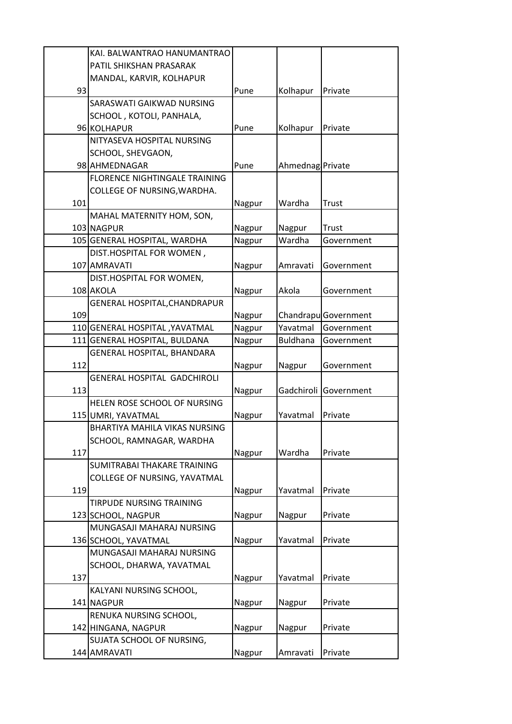|     | KAI. BALWANTRAO HANUMANTRAO        |        |                  |                      |
|-----|------------------------------------|--------|------------------|----------------------|
|     | PATIL SHIKSHAN PRASARAK            |        |                  |                      |
|     | MANDAL, KARVIR, KOLHAPUR           |        |                  |                      |
| 93  |                                    | Pune   | Kolhapur         | Private              |
|     | SARASWATI GAIKWAD NURSING          |        |                  |                      |
|     | SCHOOL, KOTOLI, PANHALA,           |        |                  |                      |
|     | 96 KOLHAPUR                        | Pune   | Kolhapur         | Private              |
|     | NITYASEVA HOSPITAL NURSING         |        |                  |                      |
|     | SCHOOL, SHEVGAON,                  |        |                  |                      |
|     | 98 AHMEDNAGAR                      | Pune   | Ahmednag Private |                      |
|     | FLORENCE NIGHTINGALE TRAINING      |        |                  |                      |
|     | COLLEGE OF NURSING, WARDHA.        |        |                  |                      |
| 101 |                                    | Nagpur | Wardha           | <b>Trust</b>         |
|     | MAHAL MATERNITY HOM, SON,          |        |                  |                      |
|     | 103 NAGPUR                         | Nagpur | Nagpur           | <b>Trust</b>         |
|     | 105 GENERAL HOSPITAL, WARDHA       | Nagpur | Wardha           | Government           |
|     | DIST.HOSPITAL FOR WOMEN,           |        |                  |                      |
|     | 107 AMRAVATI                       | Nagpur | Amravati         | Government           |
|     | DIST.HOSPITAL FOR WOMEN,           |        |                  |                      |
|     | 108 AKOLA                          | Nagpur | Akola            | Government           |
|     | GENERAL HOSPITAL, CHANDRAPUR       |        |                  |                      |
| 109 |                                    | Nagpur |                  | Chandrapu Government |
|     | 110 GENERAL HOSPITAL, YAVATMAL     | Nagpur | Yavatmal         | Government           |
|     | 111 GENERAL HOSPITAL, BULDANA      | Nagpur | <b>Buldhana</b>  | Government           |
|     | GENERAL HOSPITAL, BHANDARA         |        |                  |                      |
| 112 |                                    | Nagpur | Nagpur           | Government           |
|     | <b>GENERAL HOSPITAL GADCHIROLI</b> |        |                  |                      |
| 113 |                                    | Nagpur | Gadchiroli       | Government           |
|     | HELEN ROSE SCHOOL OF NURSING       |        |                  |                      |
|     | 115 UMRI, YAVATMAL                 | Nagpur | Yavatmal         | Private              |
|     | BHARTIYA MAHILA VIKAS NURSING      |        |                  |                      |
|     | SCHOOL, RAMNAGAR, WARDHA           |        |                  |                      |
| 117 |                                    | Nagpur | Wardha           | Private              |
|     | SUMITRABAI THAKARE TRAINING        |        |                  |                      |
|     | COLLEGE OF NURSING, YAVATMAL       |        |                  |                      |
| 119 |                                    | Nagpur | Yavatmal         | Private              |
|     | TIRPUDE NURSING TRAINING           |        |                  |                      |
|     | 123 SCHOOL, NAGPUR                 | Nagpur | Nagpur           | Private              |
|     | MUNGASAJI MAHARAJ NURSING          |        |                  |                      |
|     | 136 SCHOOL, YAVATMAL               | Nagpur | Yavatmal         | Private              |
|     | MUNGASAJI MAHARAJ NURSING          |        |                  |                      |
|     | SCHOOL, DHARWA, YAVATMAL           |        |                  |                      |
| 137 |                                    | Nagpur | Yavatmal         | Private              |
|     | KALYANI NURSING SCHOOL,            |        |                  |                      |
|     | 141 NAGPUR                         | Nagpur | Nagpur           | Private              |
|     | RENUKA NURSING SCHOOL,             |        |                  |                      |
|     | 142 HINGANA, NAGPUR                | Nagpur | Nagpur           | Private              |
|     | SUJATA SCHOOL OF NURSING,          |        |                  |                      |
|     | 144 AMRAVATI                       | Nagpur | Amravati         | Private              |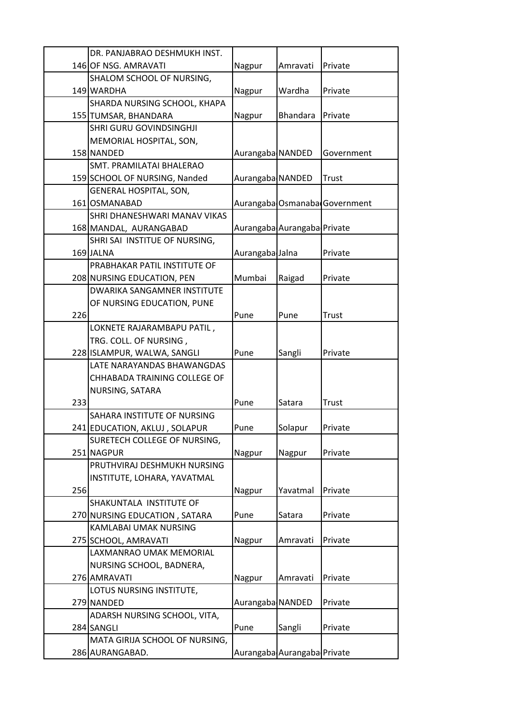|     | DR. PANJABRAO DESHMUKH INST.   |                  |                             |                               |
|-----|--------------------------------|------------------|-----------------------------|-------------------------------|
|     | 146 OF NSG. AMRAVATI           | Nagpur           | Amravati                    | Private                       |
|     | SHALOM SCHOOL OF NURSING,      |                  |                             |                               |
|     | 149 WARDHA                     | Nagpur           | Wardha                      | Private                       |
|     | SHARDA NURSING SCHOOL, KHAPA   |                  |                             |                               |
|     | 155 TUMSAR, BHANDARA           | Nagpur           | <b>Bhandara</b>             | Private                       |
|     | SHRI GURU GOVINDSINGHJI        |                  |                             |                               |
|     | MEMORIAL HOSPITAL, SON,        |                  |                             |                               |
|     | 158 NANDED                     | Aurangaba NANDED |                             | Government                    |
|     | SMT. PRAMILATAI BHALERAO       |                  |                             |                               |
|     | 159 SCHOOL OF NURSING, Nanded  | Aurangaba NANDED |                             | <b>Trust</b>                  |
|     | <b>GENERAL HOSPITAL, SON,</b>  |                  |                             |                               |
|     | 161 OSMANABAD                  |                  |                             | Aurangaba Osmanaba Government |
|     | SHRI DHANESHWARI MANAV VIKAS   |                  |                             |                               |
|     | 168 MANDAL, AURANGABAD         |                  | Aurangaba Aurangaba Private |                               |
|     | SHRI SAI INSTITUE OF NURSING,  |                  |                             |                               |
|     | 169 JALNA                      | Aurangaba Jalna  |                             | Private                       |
|     | PRABHAKAR PATIL INSTITUTE OF   |                  |                             |                               |
|     | 208 NURSING EDUCATION, PEN     | Mumbai           | Raigad                      | Private                       |
|     | DWARIKA SANGAMNER INSTITUTE    |                  |                             |                               |
|     | OF NURSING EDUCATION, PUNE     |                  |                             |                               |
| 226 |                                | Pune             | Pune                        | <b>Trust</b>                  |
|     | LOKNETE RAJARAMBAPU PATIL,     |                  |                             |                               |
|     | TRG. COLL. OF NURSING,         |                  |                             |                               |
|     | 228 ISLAMPUR, WALWA, SANGLI    | Pune             | Sangli                      | Private                       |
|     | LATE NARAYANDAS BHAWANGDAS     |                  |                             |                               |
|     | CHHABADA TRAINING COLLEGE OF   |                  |                             |                               |
|     | NURSING, SATARA                |                  |                             |                               |
| 233 |                                | Pune             | Satara                      | Trust                         |
|     | SAHARA INSTITUTE OF NURSING    |                  |                             |                               |
|     | 241 EDUCATION, AKLUJ, SOLAPUR  | Pune             | Solapur                     | Private                       |
|     | SURETECH COLLEGE OF NURSING,   |                  |                             |                               |
|     | 251 NAGPUR                     | Nagpur           | Nagpur                      | Private                       |
|     | PRUTHVIRAJ DESHMUKH NURSING    |                  |                             |                               |
|     | INSTITUTE, LOHARA, YAVATMAL    |                  |                             |                               |
| 256 |                                | Nagpur           | Yavatmal                    | Private                       |
|     | SHAKUNTALA INSTITUTE OF        |                  |                             |                               |
|     | 270 NURSING EDUCATION, SATARA  | Pune             | Satara                      | Private                       |
|     | KAMLABAI UMAK NURSING          |                  |                             |                               |
|     | 275 SCHOOL, AMRAVATI           | Nagpur           | Amravati                    | Private                       |
|     | LAXMANRAO UMAK MEMORIAL        |                  |                             |                               |
|     | NURSING SCHOOL, BADNERA,       |                  |                             |                               |
|     | 276 AMRAVATI                   | Nagpur           | Amravati                    | Private                       |
|     | LOTUS NURSING INSTITUTE,       |                  |                             |                               |
|     | 279 NANDED                     | Aurangaba NANDED |                             | Private                       |
|     | ADARSH NURSING SCHOOL, VITA,   |                  |                             |                               |
|     | 284 SANGLI                     | Pune             | Sangli                      | Private                       |
|     | MATA GIRIJA SCHOOL OF NURSING, |                  |                             |                               |
|     | 286 AURANGABAD.                |                  | Aurangaba Aurangaba Private |                               |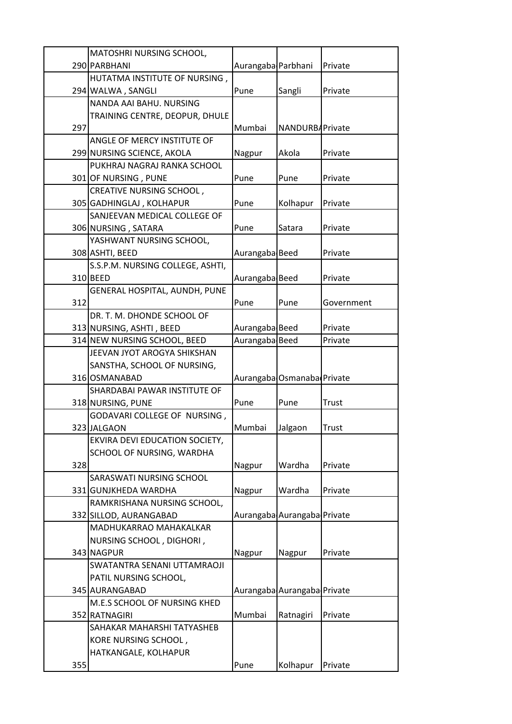|     | MATOSHRI NURSING SCHOOL,         |                    |                             |              |
|-----|----------------------------------|--------------------|-----------------------------|--------------|
|     | 290 PARBHANI                     | Aurangaba Parbhani |                             | Private      |
|     | HUTATMA INSTITUTE OF NURSING,    |                    |                             |              |
|     | 294 WALWA, SANGLI                | Pune               | Sangli                      | Private      |
|     | NANDA AAI BAHU. NURSING          |                    |                             |              |
|     | TRAINING CENTRE, DEOPUR, DHULE   |                    |                             |              |
| 297 |                                  | Mumbai             | NANDURBAPrivate             |              |
|     | ANGLE OF MERCY INSTITUTE OF      |                    |                             |              |
|     | 299 NURSING SCIENCE, AKOLA       | Nagpur             | Akola                       | Private      |
|     | PUKHRAJ NAGRAJ RANKA SCHOOL      |                    |                             |              |
|     | 301 OF NURSING, PUNE             | Pune               | Pune                        | Private      |
|     | CREATIVE NURSING SCHOOL,         |                    |                             |              |
|     | 305 GADHINGLAJ, KOLHAPUR         | Pune               | Kolhapur                    | Private      |
|     | SANJEEVAN MEDICAL COLLEGE OF     |                    |                             |              |
|     | 306 NURSING, SATARA              | Pune               | Satara                      | Private      |
|     | YASHWANT NURSING SCHOOL,         |                    |                             |              |
|     | 308 ASHTI, BEED                  | Aurangaba Beed     |                             | Private      |
|     | S.S.P.M. NURSING COLLEGE, ASHTI, |                    |                             |              |
|     | 310 BEED                         | Aurangaba Beed     |                             | Private      |
|     | GENERAL HOSPITAL, AUNDH, PUNE    |                    |                             |              |
| 312 |                                  | Pune               | Pune                        | Government   |
|     | DR. T. M. DHONDE SCHOOL OF       |                    |                             |              |
|     | 313 NURSING, ASHTI, BEED         | Aurangaba Beed     |                             | Private      |
|     | 314 NEW NURSING SCHOOL, BEED     | Aurangaba Beed     |                             | Private      |
|     | JEEVAN JYOT AROGYA SHIKSHAN      |                    |                             |              |
|     | SANSTHA, SCHOOL OF NURSING,      |                    |                             |              |
|     | 316 OSMANABAD                    |                    | Aurangaba Osmanaba Private  |              |
|     | SHARDABAI PAWAR INSTITUTE OF     |                    |                             |              |
|     | 318 NURSING, PUNE                | Pune               | Pune                        | <b>Trust</b> |
|     | GODAVARI COLLEGE OF NURSING,     |                    |                             |              |
|     | 323 JALGAON                      | Mumbai             | Jalgaon                     | <b>Trust</b> |
|     | EKVIRA DEVI EDUCATION SOCIETY,   |                    |                             |              |
|     | SCHOOL OF NURSING, WARDHA        |                    |                             |              |
| 328 |                                  | Nagpur             | Wardha                      | Private      |
|     | SARASWATI NURSING SCHOOL         |                    |                             |              |
|     | 331 GUNJKHEDA WARDHA             | Nagpur             | Wardha                      | Private      |
|     | RAMKRISHANA NURSING SCHOOL,      |                    |                             |              |
|     | 332 SILLOD, AURANGABAD           |                    | Aurangaba Aurangaba Private |              |
|     | MADHUKARRAO MAHAKALKAR           |                    |                             |              |
|     | NURSING SCHOOL, DIGHORI,         |                    |                             |              |
|     | 343 NAGPUR                       | Nagpur             | Nagpur                      | Private      |
|     | SWATANTRA SENANI UTTAMRAOJI      |                    |                             |              |
|     | PATIL NURSING SCHOOL,            |                    |                             |              |
|     | 345 AURANGABAD                   |                    | Aurangaba Aurangaba Private |              |
|     | M.E.S SCHOOL OF NURSING KHED     |                    |                             |              |
|     | 352 RATNAGIRI                    | Mumbai             | Ratnagiri                   | Private      |
|     | SAHAKAR MAHARSHI TATYASHEB       |                    |                             |              |
|     | KORE NURSING SCHOOL,             |                    |                             |              |
|     | HATKANGALE, KOLHAPUR             |                    |                             |              |
| 355 |                                  | Pune               | Kolhapur                    | Private      |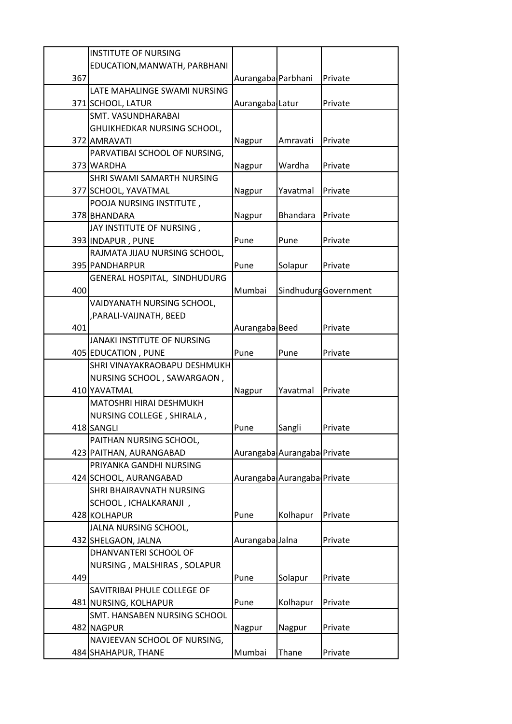|     | <b>INSTITUTE OF NURSING</b>        |                    |                             |                       |
|-----|------------------------------------|--------------------|-----------------------------|-----------------------|
|     | EDUCATION, MANWATH, PARBHANI       |                    |                             |                       |
| 367 |                                    | Aurangaba Parbhani |                             | Private               |
|     | LATE MAHALINGE SWAMI NURSING       |                    |                             |                       |
|     | 371 SCHOOL, LATUR                  | Aurangaba Latur    |                             | Private               |
|     | SMT. VASUNDHARABAI                 |                    |                             |                       |
|     | GHUIKHEDKAR NURSING SCHOOL,        |                    |                             |                       |
|     | 372 AMRAVATI                       | Nagpur             | Amravati                    | Private               |
|     | PARVATIBAI SCHOOL OF NURSING,      |                    |                             |                       |
|     | 373 WARDHA                         | Nagpur             | Wardha                      | Private               |
|     | SHRI SWAMI SAMARTH NURSING         |                    |                             |                       |
|     | 377 SCHOOL, YAVATMAL               | Nagpur             | Yavatmal                    | Private               |
|     | POOJA NURSING INSTITUTE,           |                    |                             |                       |
|     | 378 BHANDARA                       | Nagpur             | <b>Bhandara</b>             | Private               |
|     | JAY INSTITUTE OF NURSING,          |                    |                             |                       |
|     | 393 INDAPUR, PUNE                  | Pune               | Pune                        | Private               |
|     | RAJMATA JIJAU NURSING SCHOOL,      |                    |                             |                       |
|     | 395 PANDHARPUR                     | Pune               | Solapur                     | Private               |
|     | GENERAL HOSPITAL, SINDHUDURG       |                    |                             |                       |
| 400 |                                    | Mumbai             |                             | Sindhudurg Government |
|     | VAIDYANATH NURSING SCHOOL,         |                    |                             |                       |
|     | , PARALI-VAIJNATH, BEED            |                    |                             |                       |
| 401 |                                    | Aurangaba Beed     |                             | Private               |
|     | <b>JANAKI INSTITUTE OF NURSING</b> |                    |                             |                       |
|     | 405 EDUCATION, PUNE                | Pune               | Pune                        | Private               |
|     | SHRI VINAYAKRAOBAPU DESHMUKH       |                    |                             |                       |
|     | NURSING SCHOOL, SAWARGAON,         |                    |                             |                       |
|     | 410 YAVATMAL                       | Nagpur             | Yavatmal                    | Private               |
|     | MATOSHRI HIRAI DESHMUKH            |                    |                             |                       |
|     | NURSING COLLEGE, SHIRALA,          |                    |                             |                       |
|     | 418 SANGLI                         | Pune               | Sangli                      | Private               |
|     | PAITHAN NURSING SCHOOL,            |                    |                             |                       |
|     | 423 PAITHAN, AURANGABAD            |                    | Aurangaba Aurangaba Private |                       |
|     | PRIYANKA GANDHI NURSING            |                    |                             |                       |
|     | 424 SCHOOL, AURANGABAD             |                    | Aurangaba Aurangaba Private |                       |
|     | SHRI BHAIRAVNATH NURSING           |                    |                             |                       |
|     | SCHOOL, ICHALKARANJI,              |                    |                             |                       |
|     | 428 KOLHAPUR                       | Pune               | Kolhapur                    | Private               |
|     | JALNA NURSING SCHOOL,              |                    |                             |                       |
|     | 432 SHELGAON, JALNA                | Aurangaba Jalna    |                             | Private               |
|     | DHANVANTERI SCHOOL OF              |                    |                             |                       |
|     | NURSING, MALSHIRAS, SOLAPUR        |                    |                             |                       |
| 449 |                                    | Pune               | Solapur                     | Private               |
|     | SAVITRIBAI PHULE COLLEGE OF        |                    |                             |                       |
|     | 481 NURSING, KOLHAPUR              | Pune               | Kolhapur                    | Private               |
|     | SMT. HANSABEN NURSING SCHOOL       |                    |                             |                       |
|     | 482 NAGPUR                         | Nagpur             | Nagpur                      | Private               |
|     | NAVJEEVAN SCHOOL OF NURSING,       |                    |                             |                       |
|     | 484 SHAHAPUR, THANE                | Mumbai             | Thane                       | Private               |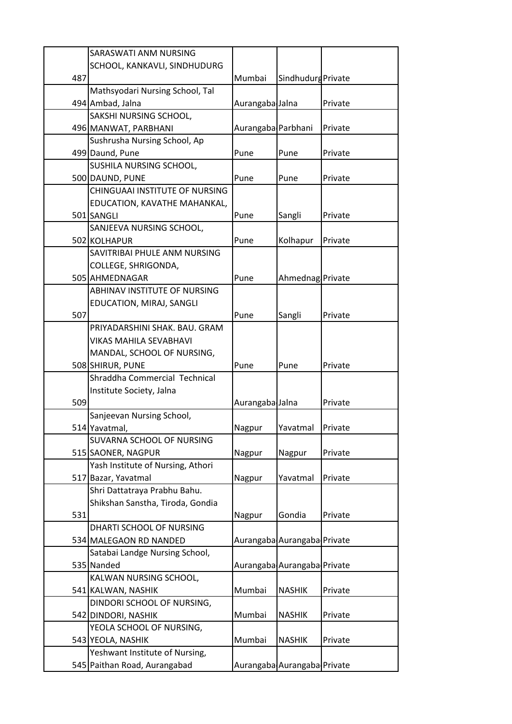|     | SARASWATI ANM NURSING             |                    |                             |         |
|-----|-----------------------------------|--------------------|-----------------------------|---------|
|     | SCHOOL, KANKAVLI, SINDHUDURG      |                    |                             |         |
| 487 |                                   | Mumbai             | Sindhudurg Private          |         |
|     | Mathsyodari Nursing School, Tal   |                    |                             |         |
|     | 494 Ambad, Jalna                  | Aurangaba Jalna    |                             | Private |
|     | SAKSHI NURSING SCHOOL,            |                    |                             |         |
|     | 496 MANWAT, PARBHANI              | Aurangaba Parbhani |                             | Private |
|     | Sushrusha Nursing School, Ap      |                    |                             |         |
|     | 499 Daund, Pune                   | Pune               | Pune                        | Private |
|     | SUSHILA NURSING SCHOOL,           |                    |                             |         |
|     | 500 DAUND, PUNE                   | Pune               | Pune                        | Private |
|     | CHINGUAAI INSTITUTE OF NURSING    |                    |                             |         |
|     | EDUCATION, KAVATHE MAHANKAL,      |                    |                             |         |
|     | 501 SANGLI                        | Pune               | Sangli                      | Private |
|     | SANJEEVA NURSING SCHOOL,          |                    |                             |         |
|     | 502 KOLHAPUR                      | Pune               | Kolhapur                    | Private |
|     | SAVITRIBAI PHULE ANM NURSING      |                    |                             |         |
|     | COLLEGE, SHRIGONDA,               |                    |                             |         |
|     | 505 AHMEDNAGAR                    | Pune               | Ahmednag Private            |         |
|     | ABHINAV INSTITUTE OF NURSING      |                    |                             |         |
|     | EDUCATION, MIRAJ, SANGLI          |                    |                             |         |
| 507 |                                   | Pune               | Sangli                      | Private |
|     | PRIYADARSHINI SHAK. BAU. GRAM     |                    |                             |         |
|     | VIKAS MAHILA SEVABHAVI            |                    |                             |         |
|     | MANDAL, SCHOOL OF NURSING,        |                    |                             |         |
|     | 508 SHIRUR, PUNE                  | Pune               | Pune                        | Private |
|     | Shraddha Commercial Technical     |                    |                             |         |
| 509 | Institute Society, Jalna          | Aurangaba Jalna    |                             | Private |
|     | Sanjeevan Nursing School,         |                    |                             |         |
|     | 514 Yavatmal,                     | Nagpur             | Yavatmal                    | Private |
|     | SUVARNA SCHOOL OF NURSING         |                    |                             |         |
|     | 515 SAONER, NAGPUR                | Nagpur             | Nagpur                      | Private |
|     | Yash Institute of Nursing, Athori |                    |                             |         |
|     | 517 Bazar, Yavatmal               | Nagpur             | Yavatmal                    | Private |
|     | Shri Dattatraya Prabhu Bahu.      |                    |                             |         |
|     | Shikshan Sanstha, Tiroda, Gondia  |                    |                             |         |
| 531 |                                   | Nagpur             | Gondia                      | Private |
|     | DHARTI SCHOOL OF NURSING          |                    |                             |         |
|     | 534 MALEGAON RD NANDED            |                    | Aurangaba Aurangaba Private |         |
|     | Satabai Landge Nursing School,    |                    |                             |         |
|     | 535 Nanded                        |                    | Aurangaba Aurangaba Private |         |
|     | KALWAN NURSING SCHOOL,            |                    |                             |         |
|     | 541 KALWAN, NASHIK                | Mumbai             | <b>NASHIK</b>               | Private |
|     | DINDORI SCHOOL OF NURSING,        |                    |                             |         |
|     | 542 DINDORI, NASHIK               | Mumbai             | <b>NASHIK</b>               | Private |
|     | YEOLA SCHOOL OF NURSING,          |                    |                             |         |
|     | 543 YEOLA, NASHIK                 | Mumbai             | <b>NASHIK</b>               | Private |
|     | Yeshwant Institute of Nursing,    |                    |                             |         |
|     | 545 Paithan Road, Aurangabad      |                    | Aurangaba Aurangaba Private |         |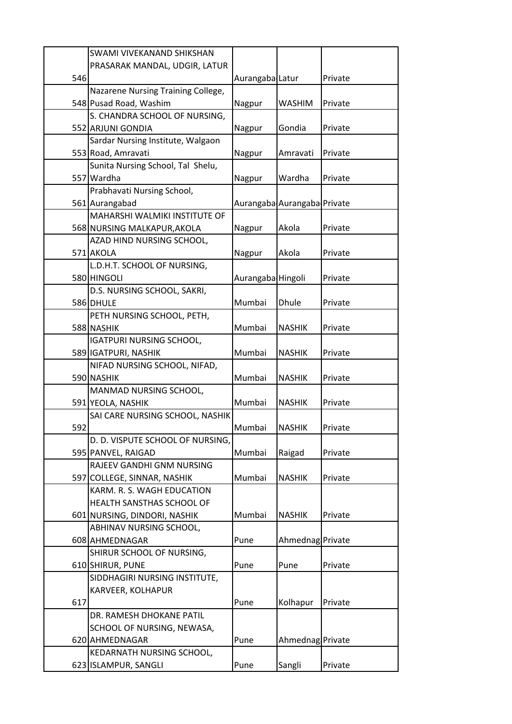|     | SWAMI VIVEKANAND SHIKSHAN          |                   |                             |         |
|-----|------------------------------------|-------------------|-----------------------------|---------|
|     | PRASARAK MANDAL, UDGIR, LATUR      |                   |                             |         |
| 546 |                                    | Aurangaba Latur   |                             | Private |
|     | Nazarene Nursing Training College, |                   |                             |         |
|     | 548 Pusad Road, Washim             | Nagpur            | <b>WASHIM</b>               | Private |
|     | S. CHANDRA SCHOOL OF NURSING,      |                   |                             |         |
|     | 552 ARJUNI GONDIA                  | Nagpur            | Gondia                      | Private |
|     | Sardar Nursing Institute, Walgaon  |                   |                             |         |
|     | 553 Road, Amravati                 | Nagpur            | Amravati                    | Private |
|     | Sunita Nursing School, Tal Shelu,  |                   |                             |         |
|     | 557 Wardha                         | Nagpur            | Wardha                      | Private |
|     | Prabhavati Nursing School,         |                   |                             |         |
|     | 561 Aurangabad                     |                   | Aurangaba Aurangaba Private |         |
|     | MAHARSHI WALMIKI INSTITUTE OF      |                   |                             |         |
|     | 568 NURSING MALKAPUR, AKOLA        | Nagpur            | Akola                       | Private |
|     | AZAD HIND NURSING SCHOOL,          |                   |                             |         |
|     | 571 AKOLA                          | Nagpur            | Akola                       | Private |
|     | L.D.H.T. SCHOOL OF NURSING,        |                   |                             |         |
|     | 580 HINGOLI                        | Aurangaba Hingoli |                             | Private |
|     | D.S. NURSING SCHOOL, SAKRI,        |                   |                             |         |
|     | 586 DHULE                          | Mumbai            | <b>Dhule</b>                | Private |
|     | PETH NURSING SCHOOL, PETH,         |                   |                             |         |
|     | 588 NASHIK                         | Mumbai            | <b>NASHIK</b>               | Private |
|     | <b>IGATPURI NURSING SCHOOL,</b>    |                   |                             |         |
|     | 589 IGATPURI, NASHIK               | Mumbai            | <b>NASHIK</b>               | Private |
|     | NIFAD NURSING SCHOOL, NIFAD,       |                   |                             |         |
|     | 590 NASHIK                         | Mumbai            | <b>NASHIK</b>               | Private |
|     | MANMAD NURSING SCHOOL,             |                   |                             |         |
|     | 591 YEOLA, NASHIK                  | Mumbai            | <b>NASHIK</b>               | Private |
|     | SAI CARE NURSING SCHOOL, NASHIK    |                   |                             |         |
| 592 |                                    | Mumbai            | <b>NASHIK</b>               | Private |
|     | D. D. VISPUTE SCHOOL OF NURSING,   |                   |                             |         |
|     | 595 PANVEL, RAIGAD                 | Mumbai            | Raigad                      | Private |
|     | RAJEEV GANDHI GNM NURSING          |                   |                             |         |
|     | 597 COLLEGE, SINNAR, NASHIK        | Mumbai            | <b>NASHIK</b>               | Private |
|     | KARM. R. S. WAGH EDUCATION         |                   |                             |         |
|     | HEALTH SANSTHAS SCHOOL OF          |                   |                             |         |
|     | 601 NURSING, DINDORI, NASHIK       | Mumbai            | <b>NASHIK</b>               | Private |
|     | ABHINAV NURSING SCHOOL,            |                   |                             |         |
|     | 608 AHMEDNAGAR                     | Pune              | Ahmednag Private            |         |
|     | SHIRUR SCHOOL OF NURSING,          |                   |                             |         |
|     | 610 SHIRUR, PUNE                   | Pune              | Pune                        | Private |
|     | SIDDHAGIRI NURSING INSTITUTE,      |                   |                             |         |
|     | KARVEER, KOLHAPUR                  |                   |                             |         |
| 617 |                                    | Pune              | Kolhapur                    | Private |
|     | DR. RAMESH DHOKANE PATIL           |                   |                             |         |
|     | SCHOOL OF NURSING, NEWASA,         |                   |                             |         |
|     | 620 AHMEDNAGAR                     | Pune              | Ahmednag Private            |         |
|     | KEDARNATH NURSING SCHOOL,          |                   |                             |         |
|     | 623 ISLAMPUR, SANGLI               | Pune              | Sangli                      | Private |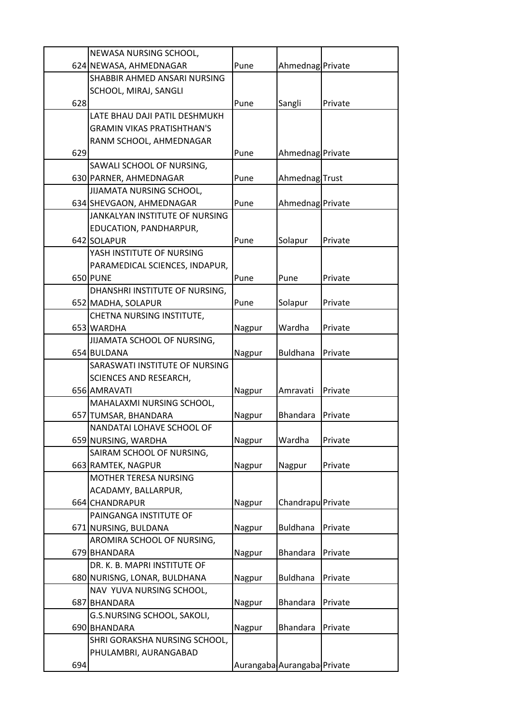|     | NEWASA NURSING SCHOOL,                           |        |                             |         |
|-----|--------------------------------------------------|--------|-----------------------------|---------|
|     | 624 NEWASA, AHMEDNAGAR                           | Pune   | Ahmednag Private            |         |
|     | SHABBIR AHMED ANSARI NURSING                     |        |                             |         |
|     | SCHOOL, MIRAJ, SANGLI                            |        |                             |         |
| 628 |                                                  | Pune   | Sangli                      | Private |
|     | LATE BHAU DAJI PATIL DESHMUKH                    |        |                             |         |
|     | <b>GRAMIN VIKAS PRATISHTHAN'S</b>                |        |                             |         |
|     | RANM SCHOOL, AHMEDNAGAR                          |        |                             |         |
| 629 |                                                  | Pune   | Ahmednag Private            |         |
|     | SAWALI SCHOOL OF NURSING,                        |        |                             |         |
|     | 630 PARNER, AHMEDNAGAR                           | Pune   | Ahmednag Trust              |         |
|     | JIJAMATA NURSING SCHOOL,                         |        |                             |         |
|     | 634 SHEVGAON, AHMEDNAGAR                         | Pune   | Ahmednag Private            |         |
|     | JANKALYAN INSTITUTE OF NURSING                   |        |                             |         |
|     | EDUCATION, PANDHARPUR,                           |        |                             |         |
|     | 642 SOLAPUR                                      | Pune   | Solapur                     | Private |
|     | YASH INSTITUTE OF NURSING                        |        |                             |         |
|     | PARAMEDICAL SCIENCES, INDAPUR,                   |        |                             |         |
|     | 650 PUNE                                         | Pune   | Pune                        | Private |
|     | DHANSHRI INSTITUTE OF NURSING,                   |        |                             |         |
|     | 652 MADHA, SOLAPUR                               | Pune   | Solapur                     | Private |
|     | CHETNA NURSING INSTITUTE,                        |        |                             |         |
|     | 653 WARDHA                                       | Nagpur | Wardha                      | Private |
|     | JIJAMATA SCHOOL OF NURSING,                      |        |                             |         |
|     | 654 BULDANA                                      | Nagpur | <b>Buldhana</b>             | Private |
|     | SARASWATI INSTITUTE OF NURSING                   |        |                             |         |
|     | <b>SCIENCES AND RESEARCH,</b>                    |        |                             |         |
|     | 656 AMRAVATI                                     | Nagpur | Amravati                    | Private |
|     | MAHALAXMI NURSING SCHOOL,                        |        | <b>Bhandara</b>             |         |
|     | 657 TUMSAR, BHANDARA                             | Nagpur |                             | Private |
|     | NANDATAI LOHAVE SCHOOL OF<br>659 NURSING, WARDHA | Nagpur | Wardha                      | Private |
|     | SAIRAM SCHOOL OF NURSING,                        |        |                             |         |
|     | 663 RAMTEK, NAGPUR                               | Nagpur | Nagpur                      | Private |
|     | MOTHER TERESA NURSING                            |        |                             |         |
|     | ACADAMY, BALLARPUR,                              |        |                             |         |
|     | 664 CHANDRAPUR                                   | Nagpur | Chandrapu Private           |         |
|     | PAINGANGA INSTITUTE OF                           |        |                             |         |
|     | 671 NURSING, BULDANA                             | Nagpur | <b>Buldhana</b>             | Private |
|     | AROMIRA SCHOOL OF NURSING,                       |        |                             |         |
|     | 679 BHANDARA                                     | Nagpur | <b>Bhandara</b>             | Private |
|     | DR. K. B. MAPRI INSTITUTE OF                     |        |                             |         |
|     | 680 NURISNG, LONAR, BULDHANA                     | Nagpur | <b>Buldhana</b>             | Private |
|     | NAV YUVA NURSING SCHOOL,                         |        |                             |         |
|     | 687 BHANDARA                                     | Nagpur | <b>Bhandara</b>             | Private |
|     | G.S.NURSING SCHOOL, SAKOLI,                      |        |                             |         |
|     | 690 BHANDARA                                     | Nagpur | <b>Bhandara</b>             | Private |
|     | SHRI GORAKSHA NURSING SCHOOL,                    |        |                             |         |
|     | PHULAMBRI, AURANGABAD                            |        |                             |         |
| 694 |                                                  |        | Aurangaba Aurangaba Private |         |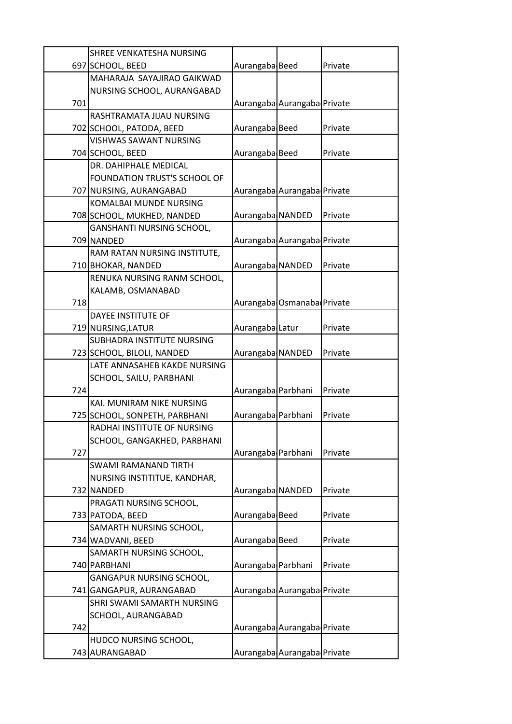|     | SHREE VENKATESHA NURSING                    |                    |                             |         |
|-----|---------------------------------------------|--------------------|-----------------------------|---------|
|     | 697 SCHOOL, BEED                            | Aurangaba Beed     |                             | Private |
|     | MAHARAJA SAYAJIRAO GAIKWAD                  |                    |                             |         |
|     | NURSING SCHOOL, AURANGABAD                  |                    |                             |         |
| 701 |                                             |                    | Aurangaba Aurangaba Private |         |
|     | RASHTRAMATA JIJAU NURSING                   |                    |                             |         |
|     | 702 SCHOOL, PATODA, BEED                    | Aurangaba Beed     |                             | Private |
|     | <b>VISHWAS SAWANT NURSING</b>               |                    |                             |         |
|     | 704 SCHOOL, BEED                            | Aurangaba Beed     |                             | Private |
|     | DR. DAHIPHALE MEDICAL                       |                    |                             |         |
|     | FOUNDATION TRUST'S SCHOOL OF                |                    |                             |         |
|     | 707 NURSING, AURANGABAD                     |                    | Aurangaba Aurangaba Private |         |
|     | <b>KOMALBAI MUNDE NURSING</b>               |                    |                             |         |
|     | 708 SCHOOL, MUKHED, NANDED                  | Aurangaba NANDED   |                             | Private |
|     | GANSHANTI NURSING SCHOOL,                   |                    |                             |         |
|     | 709 NANDED                                  |                    | Aurangaba Aurangaba Private |         |
|     | RAM RATAN NURSING INSTITUTE,                |                    |                             |         |
|     | 710 BHOKAR, NANDED                          | Aurangaba NANDED   |                             | Private |
|     | RENUKA NURSING RANM SCHOOL,                 |                    |                             |         |
|     | KALAMB, OSMANABAD                           |                    |                             |         |
| 718 |                                             |                    | Aurangaba Osmanaba Private  |         |
|     | <b>DAYEE INSTITUTE OF</b>                   |                    |                             |         |
|     | 719 NURSING, LATUR                          | Aurangaba Latur    |                             | Private |
|     | SUBHADRA INSTITUTE NURSING                  |                    |                             |         |
|     | 723 SCHOOL, BILOLI, NANDED                  | Aurangaba NANDED   |                             | Private |
|     | LATE ANNASAHEB KAKDE NURSING                |                    |                             |         |
|     | SCHOOL, SAILU, PARBHANI                     |                    |                             |         |
| 724 |                                             | Aurangaba Parbhani |                             | Private |
|     | KAI. MUNIRAM NIKE NURSING                   |                    |                             |         |
|     | 725 SCHOOL, SONPETH, PARBHANI               | Aurangaba Parbhani |                             | Private |
|     | RADHAI INSTITUTE OF NURSING                 |                    |                             |         |
|     | SCHOOL, GANGAKHED, PARBHANI                 |                    |                             |         |
| 727 |                                             | Aurangaba Parbhani |                             | Private |
|     | <b>SWAMI RAMANAND TIRTH</b>                 |                    |                             |         |
|     | NURSING INSTITITUE, KANDHAR,                |                    |                             |         |
|     | 732 NANDED                                  | Aurangaba NANDED   |                             | Private |
|     | PRAGATI NURSING SCHOOL,                     | Aurangaba Beed     |                             | Private |
|     | 733 PATODA, BEED<br>SAMARTH NURSING SCHOOL, |                    |                             |         |
|     | 734 WADVANI, BEED                           | Aurangaba Beed     |                             | Private |
|     | SAMARTH NURSING SCHOOL,                     |                    |                             |         |
|     | 740 PARBHANI                                | Aurangaba Parbhani |                             | Private |
|     | GANGAPUR NURSING SCHOOL,                    |                    |                             |         |
|     | 741 GANGAPUR, AURANGABAD                    |                    | Aurangaba Aurangaba Private |         |
|     | SHRI SWAMI SAMARTH NURSING                  |                    |                             |         |
|     | SCHOOL, AURANGABAD                          |                    |                             |         |
| 742 |                                             |                    | Aurangaba Aurangaba Private |         |
|     | HUDCO NURSING SCHOOL,                       |                    |                             |         |
|     | 743 AURANGABAD                              |                    | Aurangaba Aurangaba Private |         |
|     |                                             |                    |                             |         |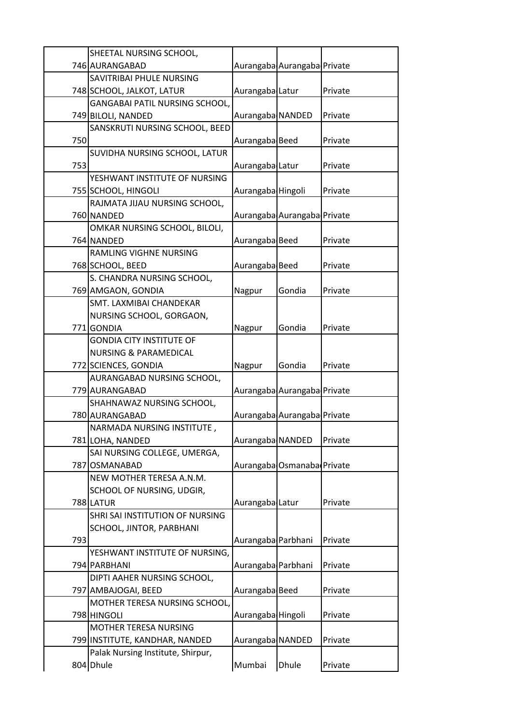|     | SHEETAL NURSING SCHOOL,                |                    |                             |         |
|-----|----------------------------------------|--------------------|-----------------------------|---------|
|     | 746 AURANGABAD                         |                    | Aurangaba Aurangaba Private |         |
|     | <b>SAVITRIBAI PHULE NURSING</b>        |                    |                             |         |
|     | 748 SCHOOL, JALKOT, LATUR              | Aurangaba Latur    |                             | Private |
|     | GANGABAI PATIL NURSING SCHOOL,         |                    |                             |         |
|     | 749 BILOLI, NANDED                     | Aurangaba NANDED   |                             | Private |
|     | SANSKRUTI NURSING SCHOOL, BEED         |                    |                             |         |
| 750 |                                        | Aurangaba Beed     |                             | Private |
|     | SUVIDHA NURSING SCHOOL, LATUR          |                    |                             |         |
| 753 |                                        | Aurangaba Latur    |                             | Private |
|     | YESHWANT INSTITUTE OF NURSING          |                    |                             |         |
|     | 755 SCHOOL, HINGOLI                    | Aurangaba Hingoli  |                             | Private |
|     | RAJMATA JIJAU NURSING SCHOOL,          |                    |                             |         |
|     | 760 NANDED                             |                    | Aurangaba Aurangaba Private |         |
|     | OMKAR NURSING SCHOOL, BILOLI,          |                    |                             |         |
|     | 764 NANDED                             | Aurangaba Beed     |                             | Private |
|     | <b>RAMLING VIGHNE NURSING</b>          |                    |                             |         |
|     | 768 SCHOOL, BEED                       | Aurangaba Beed     |                             | Private |
|     | S. CHANDRA NURSING SCHOOL,             |                    |                             |         |
|     | 769 AMGAON, GONDIA                     | Nagpur             | Gondia                      | Private |
|     | SMT. LAXMIBAI CHANDEKAR                |                    |                             |         |
|     | NURSING SCHOOL, GORGAON,               |                    |                             |         |
|     | 771GONDIA                              | Nagpur             | Gondia                      | Private |
|     | <b>GONDIA CITY INSTITUTE OF</b>        |                    |                             |         |
|     | <b>NURSING &amp; PARAMEDICAL</b>       |                    |                             |         |
|     | 772 SCIENCES, GONDIA                   | Nagpur             | Gondia                      | Private |
|     | AURANGABAD NURSING SCHOOL,             |                    |                             |         |
|     | 779 AURANGABAD                         |                    | Aurangaba Aurangaba Private |         |
|     | SHAHNAWAZ NURSING SCHOOL,              |                    |                             |         |
|     | 780 AURANGABAD                         |                    | Aurangaba Aurangaba Private |         |
|     | NARMADA NURSING INSTITUTE,             |                    |                             |         |
|     | 781 LOHA, NANDED                       | Aurangaba NANDED   |                             | Private |
|     | SAI NURSING COLLEGE, UMERGA,           |                    |                             |         |
|     | 787 OSMANABAD                          |                    | Aurangaba Osmanaba Private  |         |
|     | NEW MOTHER TERESA A.N.M.               |                    |                             |         |
|     | SCHOOL OF NURSING, UDGIR,<br>788 LATUR |                    |                             |         |
|     | SHRI SAI INSTITUTION OF NURSING        | Aurangaba Latur    |                             | Private |
|     |                                        |                    |                             |         |
| 793 | SCHOOL, JINTOR, PARBHANI               | Aurangaba Parbhani |                             | Private |
|     | YESHWANT INSTITUTE OF NURSING,         |                    |                             |         |
|     | 794 PARBHANI                           | Aurangaba Parbhani |                             | Private |
|     | DIPTI AAHER NURSING SCHOOL,            |                    |                             |         |
|     | 797 AMBAJOGAI, BEED                    | Aurangaba Beed     |                             | Private |
|     | MOTHER TERESA NURSING SCHOOL,          |                    |                             |         |
|     | 798 HINGOLI                            | Aurangaba Hingoli  |                             | Private |
|     | MOTHER TERESA NURSING                  |                    |                             |         |
|     | 799 INSTITUTE, KANDHAR, NANDED         | Aurangaba NANDED   |                             | Private |
|     | Palak Nursing Institute, Shirpur,      |                    |                             |         |
|     | 804 Dhule                              | Mumbai             | <b>Dhule</b>                | Private |
|     |                                        |                    |                             |         |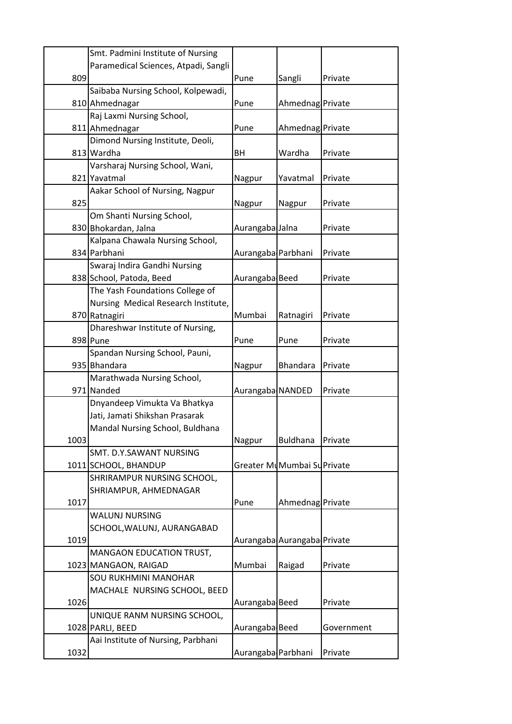|      | Smt. Padmini Institute of Nursing    |                    |                             |            |
|------|--------------------------------------|--------------------|-----------------------------|------------|
|      | Paramedical Sciences, Atpadi, Sangli |                    |                             |            |
| 809  |                                      | Pune               | Sangli                      | Private    |
|      | Saibaba Nursing School, Kolpewadi,   |                    |                             |            |
|      | 810 Ahmednagar                       | Pune               | Ahmednag Private            |            |
|      | Raj Laxmi Nursing School,            |                    |                             |            |
|      | 811 Ahmednagar                       | Pune               | Ahmednag Private            |            |
|      | Dimond Nursing Institute, Deoli,     |                    |                             |            |
|      | 813 Wardha                           | <b>BH</b>          | Wardha                      | Private    |
|      | Varsharaj Nursing School, Wani,      |                    |                             |            |
|      | 821 Yavatmal                         | Nagpur             | Yavatmal                    | Private    |
|      | Aakar School of Nursing, Nagpur      |                    |                             |            |
| 825  |                                      | Nagpur             | Nagpur                      | Private    |
|      | Om Shanti Nursing School,            |                    |                             |            |
|      | 830 Bhokardan, Jalna                 | Aurangaba Jalna    |                             | Private    |
|      | Kalpana Chawala Nursing School,      |                    |                             |            |
|      | 834 Parbhani                         | Aurangaba Parbhani |                             | Private    |
|      | Swaraj Indira Gandhi Nursing         |                    |                             |            |
|      | 838 School, Patoda, Beed             | Aurangaba Beed     |                             | Private    |
|      | The Yash Foundations College of      |                    |                             |            |
|      | Nursing Medical Research Institute,  |                    |                             |            |
|      | 870 Ratnagiri                        | Mumbai             | Ratnagiri                   | Private    |
|      | Dhareshwar Institute of Nursing,     |                    |                             |            |
|      | 898 Pune                             | Pune               | Pune                        | Private    |
|      | Spandan Nursing School, Pauni,       |                    |                             |            |
|      | 935 Bhandara                         | Nagpur             | <b>Bhandara</b>             | Private    |
|      | Marathwada Nursing School,           |                    |                             |            |
|      | 971 Nanded                           | Aurangaba NANDED   |                             | Private    |
|      | Dnyandeep Vimukta Va Bhatkya         |                    |                             |            |
|      | Jati, Jamati Shikshan Prasarak       |                    |                             |            |
|      | Mandal Nursing School, Buldhana      |                    |                             |            |
| 1003 |                                      | Nagpur             | <b>Buldhana</b>             | Private    |
|      | SMT. D.Y.SAWANT NURSING              |                    |                             |            |
|      | 1011 SCHOOL, BHANDUP                 |                    | Greater MuMumbai Su Private |            |
|      | SHRIRAMPUR NURSING SCHOOL,           |                    |                             |            |
|      | SHRIAMPUR, AHMEDNAGAR                |                    |                             |            |
| 1017 |                                      | Pune               | Ahmednag Private            |            |
|      | <b>WALUNJ NURSING</b>                |                    |                             |            |
|      | SCHOOL, WALUNJ, AURANGABAD           |                    |                             |            |
| 1019 |                                      |                    | Aurangaba Aurangaba Private |            |
|      | MANGAON EDUCATION TRUST,             |                    |                             |            |
|      | 1023 MANGAON, RAIGAD                 | Mumbai             | Raigad                      | Private    |
|      | <b>SOU RUKHMINI MANOHAR</b>          |                    |                             |            |
|      | MACHALE NURSING SCHOOL, BEED         |                    |                             |            |
| 1026 |                                      | Aurangaba Beed     |                             | Private    |
|      | UNIQUE RANM NURSING SCHOOL,          |                    |                             |            |
|      | 1028 PARLI, BEED                     | Aurangaba Beed     |                             | Government |
|      | Aai Institute of Nursing, Parbhani   |                    |                             |            |
| 1032 |                                      | Aurangaba Parbhani |                             | Private    |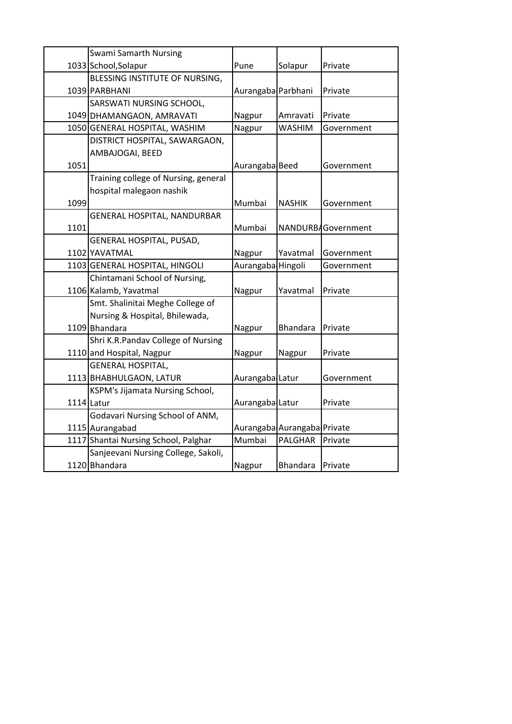|      | <b>Swami Samarth Nursing</b>         |                    |                             |                    |
|------|--------------------------------------|--------------------|-----------------------------|--------------------|
|      | 1033 School, Solapur                 | Pune               | Solapur                     | Private            |
|      | BLESSING INSTITUTE OF NURSING,       |                    |                             |                    |
|      | 1039 PARBHANI                        | Aurangaba Parbhani |                             | Private            |
|      | SARSWATI NURSING SCHOOL,             |                    |                             |                    |
|      | 1049 DHAMANGAON, AMRAVATI            | Nagpur             | Amravati                    | Private            |
|      | 1050 GENERAL HOSPITAL, WASHIM        | Nagpur             | <b>WASHIM</b>               | Government         |
|      | DISTRICT HOSPITAL, SAWARGAON,        |                    |                             |                    |
|      | AMBAJOGAI, BEED                      |                    |                             |                    |
| 1051 |                                      | Aurangaba Beed     |                             | Government         |
|      | Training college of Nursing, general |                    |                             |                    |
|      | hospital malegaon nashik             |                    |                             |                    |
| 1099 |                                      | Mumbai             | <b>NASHIK</b>               | Government         |
|      | GENERAL HOSPITAL, NANDURBAR          |                    |                             |                    |
| 1101 |                                      | Mumbai             |                             | NANDURBAGovernment |
|      | GENERAL HOSPITAL, PUSAD,             |                    |                             |                    |
|      | 1102 YAVATMAL                        | Nagpur             | Yavatmal                    | Government         |
|      | 1103 GENERAL HOSPITAL, HINGOLI       | Aurangaba Hingoli  |                             | Government         |
|      | Chintamani School of Nursing,        |                    |                             |                    |
|      | 1106 Kalamb, Yavatmal                | Nagpur             | Yavatmal                    | Private            |
|      | Smt. Shalinitai Meghe College of     |                    |                             |                    |
|      | Nursing & Hospital, Bhilewada,       |                    |                             |                    |
|      | 1109 Bhandara                        | Nagpur             | <b>Bhandara</b>             | Private            |
|      | Shri K.R.Pandav College of Nursing   |                    |                             |                    |
|      | 1110 and Hospital, Nagpur            | Nagpur             | Nagpur                      | Private            |
|      | <b>GENERAL HOSPITAL,</b>             |                    |                             |                    |
|      | 1113 BHABHULGAON, LATUR              | Aurangaba Latur    |                             | Government         |
|      | KSPM's Jijamata Nursing School,      |                    |                             |                    |
|      | 1114 Latur                           | Aurangaba Latur    |                             | Private            |
|      | Godavari Nursing School of ANM,      |                    |                             |                    |
|      | 1115 Aurangabad                      |                    | Aurangaba Aurangaba Private |                    |
|      | 1117 Shantai Nursing School, Palghar | Mumbai             | <b>PALGHAR</b>              | Private            |
|      | Sanjeevani Nursing College, Sakoli,  |                    |                             |                    |
|      | 1120 Bhandara                        | Nagpur             | <b>Bhandara</b>             | Private            |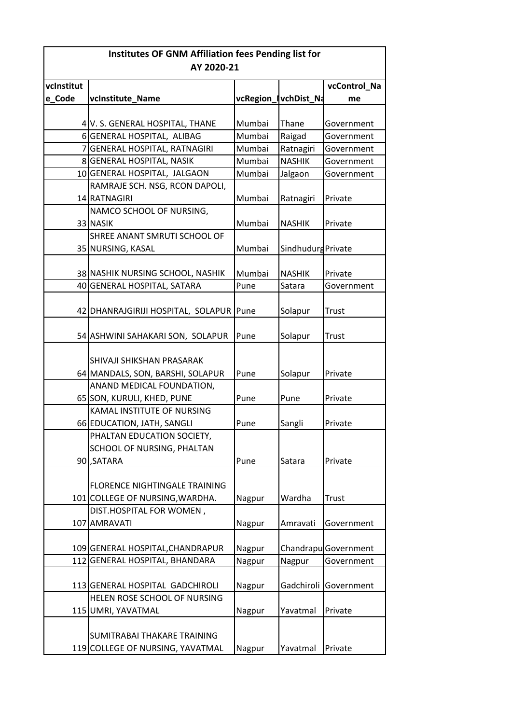| <b>Institutes OF GNM Affiliation fees Pending list for</b> |                                         |        |                      |                      |  |
|------------------------------------------------------------|-----------------------------------------|--------|----------------------|----------------------|--|
| AY 2020-21                                                 |                                         |        |                      |                      |  |
| vcInstitut                                                 |                                         |        |                      | vcControl_Na         |  |
| e_Code                                                     | vcInstitute Name                        |        | vcRegion_lvchDist_Na | me                   |  |
|                                                            |                                         |        |                      |                      |  |
|                                                            | 4 V. S. GENERAL HOSPITAL, THANE         | Mumbai | Thane                | Government           |  |
|                                                            | 6 GENERAL HOSPITAL, ALIBAG              | Mumbai | Raigad               | Government           |  |
|                                                            | 7 GENERAL HOSPITAL, RATNAGIRI           | Mumbai | Ratnagiri            | Government           |  |
|                                                            | 8 GENERAL HOSPITAL, NASIK               | Mumbai | <b>NASHIK</b>        | Government           |  |
|                                                            | 10 GENERAL HOSPITAL, JALGAON            | Mumbai | Jalgaon              | Government           |  |
|                                                            | RAMRAJE SCH. NSG, RCON DAPOLI,          |        |                      |                      |  |
|                                                            | 14 RATNAGIRI                            | Mumbai | Ratnagiri            | Private              |  |
|                                                            | NAMCO SCHOOL OF NURSING,                |        |                      |                      |  |
|                                                            | 33 NASIK                                | Mumbai | <b>NASHIK</b>        | Private              |  |
|                                                            | SHREE ANANT SMRUTI SCHOOL OF            |        |                      |                      |  |
|                                                            | 35 NURSING, KASAL                       | Mumbai | Sindhudurg Private   |                      |  |
|                                                            |                                         |        |                      |                      |  |
|                                                            | 38 NASHIK NURSING SCHOOL, NASHIK        | Mumbai | <b>NASHIK</b>        | Private              |  |
|                                                            | 40 GENERAL HOSPITAL, SATARA             | Pune   | Satara               | Government           |  |
|                                                            |                                         |        |                      |                      |  |
|                                                            | 42 DHANRAJGIRIJI HOSPITAL, SOLAPUR Pune |        | Solapur              | Trust                |  |
|                                                            | 54 ASHWINI SAHAKARI SON, SOLAPUR        | Pune   | Solapur              | Trust                |  |
|                                                            |                                         |        |                      |                      |  |
|                                                            | SHIVAJI SHIKSHAN PRASARAK               |        |                      |                      |  |
|                                                            | 64 MANDALS, SON, BARSHI, SOLAPUR        | Pune   | Solapur              | Private              |  |
|                                                            | ANAND MEDICAL FOUNDATION,               |        |                      |                      |  |
|                                                            | 65 SON, KURULI, KHED, PUNE              | Pune   | Pune                 | Private              |  |
|                                                            | KAMAL INSTITUTE OF NURSING              |        |                      |                      |  |
|                                                            | 66 EDUCATION, JATH, SANGLI              | Pune   | Sangli               | Private              |  |
|                                                            | PHALTAN EDUCATION SOCIETY,              |        |                      |                      |  |
|                                                            | SCHOOL OF NURSING, PHALTAN              |        |                      |                      |  |
|                                                            | 90.SATARA                               | Pune   | Satara               | Private              |  |
|                                                            |                                         |        |                      |                      |  |
|                                                            | <b>FLORENCE NIGHTINGALE TRAINING</b>    |        |                      |                      |  |
|                                                            | 101 COLLEGE OF NURSING, WARDHA.         | Nagpur | Wardha               | Trust                |  |
|                                                            | DIST.HOSPITAL FOR WOMEN,                |        |                      |                      |  |
|                                                            | 107 AMRAVATI                            | Nagpur | Amravati             | Government           |  |
|                                                            |                                         |        |                      |                      |  |
|                                                            | 109 GENERAL HOSPITAL, CHANDRAPUR        | Nagpur |                      | Chandrapu Government |  |
|                                                            | 112 GENERAL HOSPITAL, BHANDARA          | Nagpur | Nagpur               | Government           |  |
|                                                            |                                         |        |                      |                      |  |
|                                                            | 113 GENERAL HOSPITAL GADCHIROLI         | Nagpur | Gadchiroli           | Government           |  |
|                                                            | HELEN ROSE SCHOOL OF NURSING            |        |                      |                      |  |
|                                                            | 115 UMRI, YAVATMAL                      | Nagpur | Yavatmal             | Private              |  |
|                                                            |                                         |        |                      |                      |  |
|                                                            | SUMITRABAI THAKARE TRAINING             |        |                      |                      |  |
|                                                            | 119 COLLEGE OF NURSING, YAVATMAL        | Nagpur | Yavatmal             | Private              |  |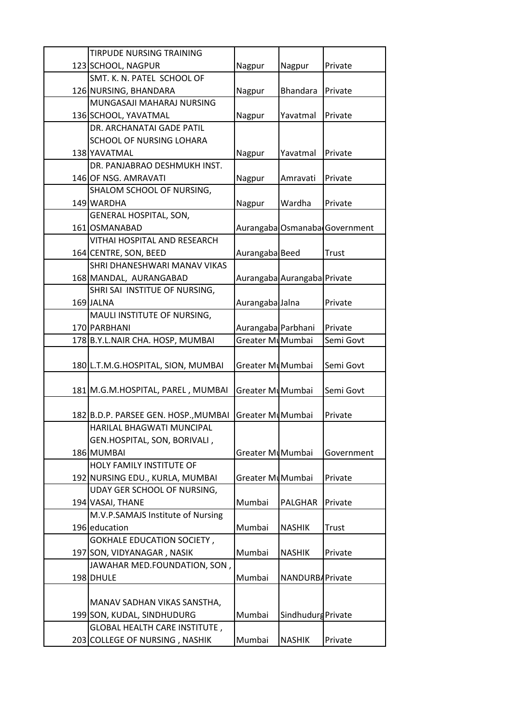| TIRPUDE NURSING TRAINING                        |                    |                             |                               |
|-------------------------------------------------|--------------------|-----------------------------|-------------------------------|
| 123 SCHOOL, NAGPUR                              | Nagpur             | Nagpur                      | Private                       |
| SMT. K. N. PATEL SCHOOL OF                      |                    |                             |                               |
| 126 NURSING, BHANDARA                           | Nagpur             | Bhandara                    | Private                       |
| MUNGASAJI MAHARAJ NURSING                       |                    |                             |                               |
| 136 SCHOOL, YAVATMAL                            | Nagpur             | Yavatmal                    | Private                       |
| DR. ARCHANATAI GADE PATIL                       |                    |                             |                               |
| SCHOOL OF NURSING LOHARA                        |                    |                             |                               |
| 138 YAVATMAL                                    | Nagpur             | Yavatmal                    | Private                       |
| DR. PANJABRAO DESHMUKH INST.                    |                    |                             |                               |
| 146 OF NSG. AMRAVATI                            | Nagpur             | Amravati                    | Private                       |
| SHALOM SCHOOL OF NURSING,                       |                    |                             |                               |
| 149 WARDHA                                      | Nagpur             | Wardha                      | Private                       |
| GENERAL HOSPITAL, SON,                          |                    |                             |                               |
| 161 OSMANABAD                                   |                    |                             | Aurangaba Osmanaba Government |
| VITHAI HOSPITAL AND RESEARCH                    |                    |                             |                               |
| 164 CENTRE, SON, BEED                           | Aurangaba Beed     |                             | <b>Trust</b>                  |
| SHRI DHANESHWARI MANAV VIKAS                    |                    |                             |                               |
| 168 MANDAL, AURANGABAD                          |                    | Aurangaba Aurangaba Private |                               |
| SHRI SAI INSTITUE OF NURSING,                   |                    |                             |                               |
| 169 JALNA                                       | Aurangaba Jalna    |                             | Private                       |
| MAULI INSTITUTE OF NURSING,                     |                    |                             |                               |
| 170 PARBHANI                                    | Aurangaba Parbhani |                             | Private                       |
| 178 B.Y.L.NAIR CHA. HOSP, MUMBAI                | Greater MuMumbai   |                             | Semi Govt                     |
| 180 L.T.M.G.HOSPITAL, SION, MUMBAI              | Greater MyMumbai   |                             | Semi Govt                     |
|                                                 |                    |                             |                               |
| 181 M.G.M.HOSPITAL, PAREL, MUMBAI               | Greater MuMumbai   |                             | Semi Govt                     |
|                                                 |                    |                             |                               |
| 182 B.D.P. PARSEE GEN. HOSP., MUMBAI            | Greater MuMumbai   |                             | Private                       |
| HARILAL BHAGWATI MUNCIPAL                       |                    |                             |                               |
| GEN.HOSPITAL, SON, BORIVALI,                    |                    |                             |                               |
| 186 MUMBAI                                      | Greater MuMumbai   |                             | Government                    |
| HOLY FAMILY INSTITUTE OF                        |                    |                             |                               |
| 192 NURSING EDU., KURLA, MUMBAI                 | Greater MuMumbai   |                             | Private                       |
| UDAY GER SCHOOL OF NURSING,<br>194 VASAI, THANE | Mumbai             | PALGHAR                     | Private                       |
| M.V.P.SAMAJS Institute of Nursing               |                    |                             |                               |
| 196 education                                   | Mumbai             | <b>NASHIK</b>               | Trust                         |
| <b>GOKHALE EDUCATION SOCIETY,</b>               |                    |                             |                               |
| 197 SON, VIDYANAGAR, NASIK                      | Mumbai             | <b>NASHIK</b>               | Private                       |
| JAWAHAR MED.FOUNDATION, SON,                    |                    |                             |                               |
| 198 DHULE                                       | Mumbai             | NANDURBAPrivate             |                               |
|                                                 |                    |                             |                               |
| MANAV SADHAN VIKAS SANSTHA,                     |                    |                             |                               |
| 199 SON, KUDAL, SINDHUDURG                      | Mumbai             | Sindhudurg Private          |                               |
| <b>GLOBAL HEALTH CARE INSTITUTE,</b>            |                    |                             |                               |
| 203 COLLEGE OF NURSING, NASHIK                  | Mumbai             | <b>NASHIK</b>               | Private                       |
|                                                 |                    |                             |                               |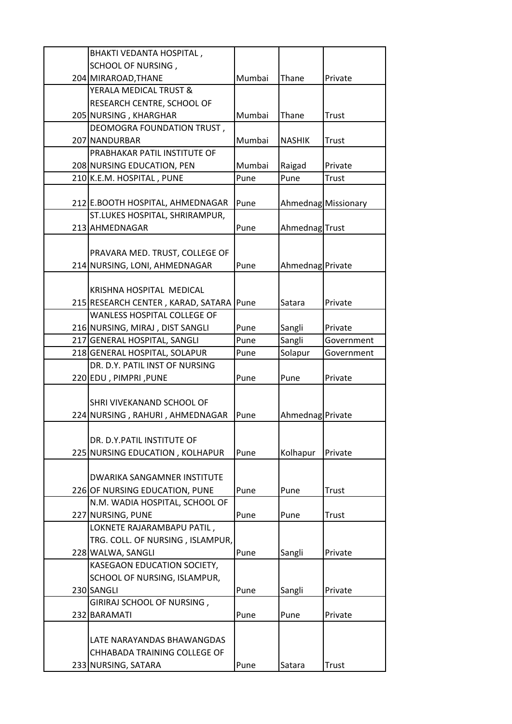| BHAKTI VEDANTA HOSPITAL,           |        |                  |                     |
|------------------------------------|--------|------------------|---------------------|
| SCHOOL OF NURSING,                 |        |                  |                     |
| 204 MIRAROAD, THANE                | Mumbai | Thane            | Private             |
| YERALA MEDICAL TRUST &             |        |                  |                     |
| RESEARCH CENTRE, SCHOOL OF         |        |                  |                     |
| 205 NURSING, KHARGHAR              | Mumbai | Thane            | Trust               |
| DEOMOGRA FOUNDATION TRUST,         |        |                  |                     |
| 207 NANDURBAR                      | Mumbai | <b>NASHIK</b>    | Trust               |
| PRABHAKAR PATIL INSTITUTE OF       |        |                  |                     |
| 208 NURSING EDUCATION, PEN         | Mumbai | Raigad           | Private             |
| 210 K.E.M. HOSPITAL, PUNE          | Pune   | Pune             | Trust               |
|                                    |        |                  |                     |
| 212 E.BOOTH HOSPITAL, AHMEDNAGAR   | Pune   |                  | Ahmednag Missionary |
| ST.LUKES HOSPITAL, SHRIRAMPUR,     |        |                  |                     |
| 213 AHMEDNAGAR                     |        |                  |                     |
|                                    | Pune   | AhmednagTrust    |                     |
|                                    |        |                  |                     |
| PRAVARA MED. TRUST, COLLEGE OF     |        |                  |                     |
| 214 NURSING, LONI, AHMEDNAGAR      | Pune   | Ahmednag Private |                     |
|                                    |        |                  |                     |
| <b>KRISHNA HOSPITAL MEDICAL</b>    |        |                  |                     |
| 215 RESEARCH CENTER, KARAD, SATARA | Pune   | Satara           | Private             |
| WANLESS HOSPITAL COLLEGE OF        |        |                  |                     |
| 216 NURSING, MIRAJ, DIST SANGLI    | Pune   | Sangli           | Private             |
| 217 GENERAL HOSPITAL, SANGLI       | Pune   | Sangli           | Government          |
| 218 GENERAL HOSPITAL, SOLAPUR      | Pune   | Solapur          | Government          |
| DR. D.Y. PATIL INST OF NURSING     |        |                  |                     |
| 220 EDU, PIMPRI, PUNE              | Pune   | Pune             | Private             |
|                                    |        |                  |                     |
| SHRI VIVEKANAND SCHOOL OF          |        |                  |                     |
| 224 NURSING, RAHURI, AHMEDNAGAR    | Pune   | Ahmednag Private |                     |
|                                    |        |                  |                     |
| DR. D.Y.PATIL INSTITUTE OF         |        |                  |                     |
| 225 NURSING EDUCATION, KOLHAPUR    | Pune   | Kolhapur         | Private             |
|                                    |        |                  |                     |
| DWARIKA SANGAMNER INSTITUTE        |        |                  |                     |
| 226 OF NURSING EDUCATION, PUNE     | Pune   | Pune             | Trust               |
| N.M. WADIA HOSPITAL, SCHOOL OF     |        |                  |                     |
| 227 NURSING, PUNE                  | Pune   | Pune             | Trust               |
| LOKNETE RAJARAMBAPU PATIL,         |        |                  |                     |
| TRG. COLL. OF NURSING, ISLAMPUR,   |        |                  |                     |
| 228 WALWA, SANGLI                  | Pune   | Sangli           | Private             |
| KASEGAON EDUCATION SOCIETY,        |        |                  |                     |
| SCHOOL OF NURSING, ISLAMPUR,       |        |                  |                     |
| 230 SANGLI                         | Pune   | Sangli           | Private             |
| GIRIRAJ SCHOOL OF NURSING,         |        |                  |                     |
| 232 BARAMATI                       | Pune   | Pune             | Private             |
|                                    |        |                  |                     |
| LATE NARAYANDAS BHAWANGDAS         |        |                  |                     |
| CHHABADA TRAINING COLLEGE OF       |        |                  |                     |
|                                    |        |                  |                     |
| 233 NURSING, SATARA                | Pune   | Satara           | Trust               |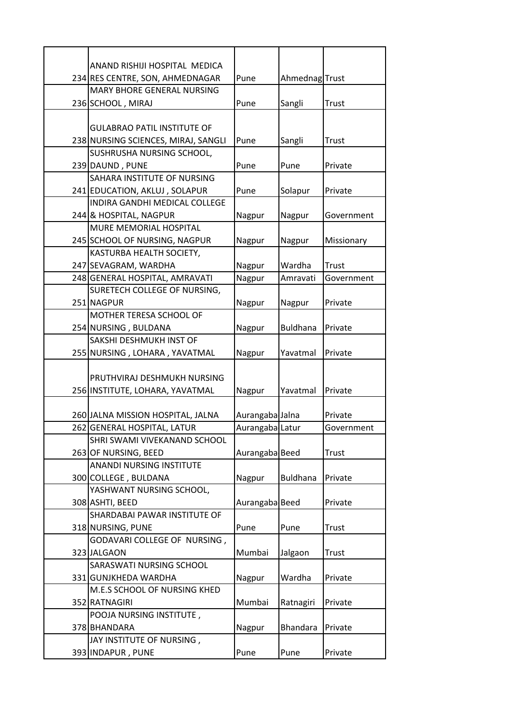| ANAND RISHIJI HOSPITAL MEDICA                                  |                 |                 |              |
|----------------------------------------------------------------|-----------------|-----------------|--------------|
| 234 RES CENTRE, SON, AHMEDNAGAR                                | Pune            | AhmednagTrust   |              |
| MARY BHORE GENERAL NURSING                                     |                 |                 |              |
| 236 SCHOOL, MIRAJ                                              | Pune            | Sangli          | Trust        |
|                                                                |                 |                 |              |
| <b>GULABRAO PATIL INSTITUTE OF</b>                             |                 |                 |              |
| 238 NURSING SCIENCES, MIRAJ, SANGLI                            | Pune            | Sangli          | Trust        |
| SUSHRUSHA NURSING SCHOOL,                                      |                 |                 |              |
| 239 DAUND, PUNE                                                | Pune            | Pune            | Private      |
| SAHARA INSTITUTE OF NURSING                                    |                 |                 |              |
| 241 EDUCATION, AKLUJ, SOLAPUR                                  | Pune            | Solapur         | Private      |
| INDIRA GANDHI MEDICAL COLLEGE                                  |                 |                 |              |
| 244 & HOSPITAL, NAGPUR                                         | Nagpur          | Nagpur          | Government   |
| MURE MEMORIAL HOSPITAL                                         |                 |                 |              |
| 245 SCHOOL OF NURSING, NAGPUR                                  | Nagpur          | Nagpur          | Missionary   |
| KASTURBA HEALTH SOCIETY,                                       |                 |                 |              |
| 247 SEVAGRAM, WARDHA                                           | Nagpur          | Wardha          | Trust        |
| 248 GENERAL HOSPITAL, AMRAVATI                                 | Nagpur          | Amravati        | Government   |
| SURETECH COLLEGE OF NURSING,                                   |                 |                 |              |
| 251 NAGPUR                                                     | Nagpur          | Nagpur          | Private      |
| MOTHER TERESA SCHOOL OF                                        |                 |                 |              |
| 254 NURSING, BULDANA                                           | Nagpur          | <b>Buldhana</b> | Private      |
| SAKSHI DESHMUKH INST OF                                        |                 |                 |              |
| 255 NURSING, LOHARA, YAVATMAL                                  | Nagpur          | Yavatmal        | Private      |
|                                                                |                 |                 |              |
| PRUTHVIRAJ DESHMUKH NURSING<br>256 INSTITUTE, LOHARA, YAVATMAL |                 | Yavatmal        | Private      |
|                                                                | Nagpur          |                 |              |
| 260 JALNA MISSION HOSPITAL, JALNA                              | Aurangaba Jalna |                 | Private      |
| 262 GENERAL HOSPITAL, LATUR                                    | Aurangaba Latur |                 | Government   |
| SHRI SWAMI VIVEKANAND SCHOOL                                   |                 |                 |              |
| 263 OF NURSING, BEED                                           | Aurangaba Beed  |                 | <b>Trust</b> |
| <b>ANANDI NURSING INSTITUTE</b>                                |                 |                 |              |
| 300 COLLEGE, BULDANA                                           | Nagpur          | <b>Buldhana</b> | Private      |
| YASHWANT NURSING SCHOOL,                                       |                 |                 |              |
| 308 ASHTI, BEED                                                | Aurangaba Beed  |                 | Private      |
| SHARDABAI PAWAR INSTITUTE OF                                   |                 |                 |              |
| 318 NURSING, PUNE                                              | Pune            | Pune            | Trust        |
| GODAVARI COLLEGE OF NURSING,                                   |                 |                 |              |
| 323 JALGAON                                                    | Mumbai          | Jalgaon         | Trust        |
| SARASWATI NURSING SCHOOL                                       |                 |                 |              |
| 331 GUNJKHEDA WARDHA                                           | Nagpur          | Wardha          | Private      |
| M.E.S SCHOOL OF NURSING KHED                                   |                 |                 |              |
| 352 RATNAGIRI                                                  | Mumbai          | Ratnagiri       | Private      |
| POOJA NURSING INSTITUTE,                                       |                 |                 |              |
| 378 BHANDARA                                                   | Nagpur          | <b>Bhandara</b> | Private      |
| JAY INSTITUTE OF NURSING,                                      |                 |                 |              |
| 393 INDAPUR, PUNE                                              | Pune            | Pune            | Private      |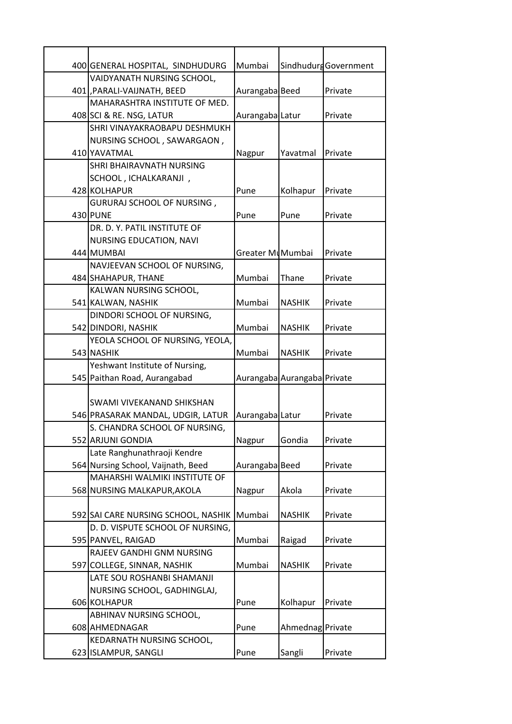| 400 GENERAL HOSPITAL, SINDHUDURG    | Mumbai           |                             | Sindhudurg Government |
|-------------------------------------|------------------|-----------------------------|-----------------------|
| VAIDYANATH NURSING SCHOOL,          |                  |                             |                       |
| 401 PARALI-VAIJNATH, BEED           | Aurangaba Beed   |                             | Private               |
| MAHARASHTRA INSTITUTE OF MED.       |                  |                             |                       |
| 408 SCI & RE. NSG, LATUR            | Aurangaba Latur  |                             | Private               |
| SHRI VINAYAKRAOBAPU DESHMUKH        |                  |                             |                       |
| NURSING SCHOOL, SAWARGAON,          |                  |                             |                       |
| 410 YAVATMAL                        | Nagpur           | Yavatmal                    | Private               |
| SHRI BHAIRAVNATH NURSING            |                  |                             |                       |
| SCHOOL, ICHALKARANJI,               |                  |                             |                       |
| 428 KOLHAPUR                        | Pune             | Kolhapur                    | Private               |
| GURURAJ SCHOOL OF NURSING,          |                  |                             |                       |
| 430 PUNE                            | Pune             | Pune                        | Private               |
| DR. D. Y. PATIL INSTITUTE OF        |                  |                             |                       |
| NURSING EDUCATION, NAVI             |                  |                             |                       |
| 444 MUMBAI                          | Greater MuMumbai |                             | Private               |
| NAVJEEVAN SCHOOL OF NURSING,        |                  |                             |                       |
| 484 SHAHAPUR, THANE                 | Mumbai           | Thane                       | Private               |
| KALWAN NURSING SCHOOL,              |                  |                             |                       |
| 541 KALWAN, NASHIK                  | Mumbai           | <b>NASHIK</b>               | Private               |
| DINDORI SCHOOL OF NURSING,          |                  |                             |                       |
| 542 DINDORI, NASHIK                 | Mumbai           | <b>NASHIK</b>               | Private               |
| YEOLA SCHOOL OF NURSING, YEOLA,     |                  |                             |                       |
| 543 NASHIK                          | Mumbai           | <b>NASHIK</b>               | Private               |
| Yeshwant Institute of Nursing,      |                  |                             |                       |
| 545 Paithan Road, Aurangabad        |                  | Aurangaba Aurangaba Private |                       |
|                                     |                  |                             |                       |
| SWAMI VIVEKANAND SHIKSHAN           |                  |                             |                       |
| 546 PRASARAK MANDAL, UDGIR, LATUR   | Aurangaba Latur  |                             | Private               |
| S. CHANDRA SCHOOL OF NURSING,       |                  |                             |                       |
| 552 ARJUNI GONDIA                   | Nagpur           | Gondia                      | Private               |
| Late Ranghunathraoji Kendre         |                  |                             |                       |
| 564 Nursing School, Vaijnath, Beed  | Aurangaba Beed   |                             | Private               |
| MAHARSHI WALMIKI INSTITUTE OF       |                  |                             |                       |
| 568 NURSING MALKAPUR, AKOLA         | Nagpur           | Akola                       | Private               |
|                                     |                  |                             |                       |
| 592 SAI CARE NURSING SCHOOL, NASHIK | Mumbai           | <b>NASHIK</b>               | Private               |
| D. D. VISPUTE SCHOOL OF NURSING,    |                  |                             |                       |
| 595 PANVEL, RAIGAD                  | Mumbai           | Raigad                      | Private               |
| RAJEEV GANDHI GNM NURSING           |                  |                             |                       |
| 597 COLLEGE, SINNAR, NASHIK         | Mumbai           | <b>NASHIK</b>               | Private               |
| LATE SOU ROSHANBI SHAMANJI          |                  |                             |                       |
| NURSING SCHOOL, GADHINGLAJ,         |                  |                             |                       |
| 606 KOLHAPUR                        | Pune             | Kolhapur                    | Private               |
| ABHINAV NURSING SCHOOL,             |                  |                             |                       |
| 608 AHMEDNAGAR                      | Pune             | Ahmednag Private            |                       |
| KEDARNATH NURSING SCHOOL,           |                  |                             |                       |
| 623 ISLAMPUR, SANGLI                | Pune             | Sangli                      | Private               |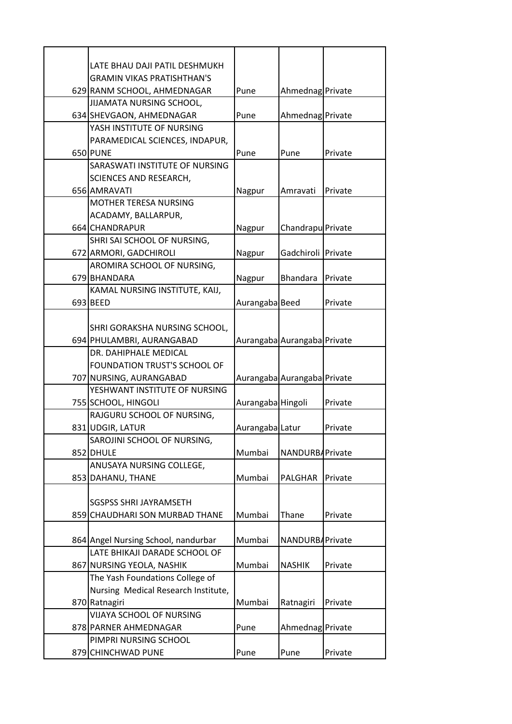| LATE BHAU DAJI PATIL DESHMUKH                                   |                   |                             |         |
|-----------------------------------------------------------------|-------------------|-----------------------------|---------|
| <b>GRAMIN VIKAS PRATISHTHAN'S</b>                               |                   |                             |         |
| 629 RANM SCHOOL, AHMEDNAGAR                                     | Pune              | Ahmednag Private            |         |
| <b>JIJAMATA NURSING SCHOOL,</b>                                 |                   |                             |         |
| 634 SHEVGAON, AHMEDNAGAR                                        | Pune              | Ahmednag Private            |         |
| YASH INSTITUTE OF NURSING                                       |                   |                             |         |
| PARAMEDICAL SCIENCES, INDAPUR,                                  |                   |                             |         |
| 650 PUNE                                                        | Pune              | Pune                        | Private |
| SARASWATI INSTITUTE OF NURSING                                  |                   |                             |         |
| SCIENCES AND RESEARCH,                                          |                   |                             |         |
| 656 AMRAVATI                                                    | Nagpur            | Amravati                    | Private |
| <b>MOTHER TERESA NURSING</b>                                    |                   |                             |         |
| ACADAMY, BALLARPUR,                                             |                   |                             |         |
| 664 CHANDRAPUR                                                  | Nagpur            | Chandrapu Private           |         |
| SHRI SAI SCHOOL OF NURSING,                                     |                   |                             |         |
| 672 ARMORI, GADCHIROLI                                          | Nagpur            | Gadchiroli Private          |         |
| AROMIRA SCHOOL OF NURSING,                                      |                   |                             |         |
| 679 BHANDARA                                                    | Nagpur            | <b>Bhandara</b>             | Private |
| KAMAL NURSING INSTITUTE, KAIJ,                                  |                   |                             |         |
| 693 BEED                                                        | Aurangaba Beed    |                             | Private |
|                                                                 |                   |                             |         |
| SHRI GORAKSHA NURSING SCHOOL,                                   |                   |                             |         |
| 694 PHULAMBRI, AURANGABAD                                       |                   | Aurangaba Aurangaba Private |         |
| DR. DAHIPHALE MEDICAL                                           |                   |                             |         |
| FOUNDATION TRUST'S SCHOOL OF                                    |                   |                             |         |
| 707 NURSING, AURANGABAD                                         |                   | Aurangaba Aurangaba Private |         |
| YESHWANT INSTITUTE OF NURSING                                   |                   |                             |         |
| 755 SCHOOL, HINGOLI                                             | Aurangaba Hingoli |                             | Private |
| RAJGURU SCHOOL OF NURSING,                                      |                   |                             |         |
| 831 UDGIR, LATUR                                                | Aurangaba Latur   |                             | Private |
| SAROJINI SCHOOL OF NURSING,                                     |                   |                             |         |
| 852 DHULE                                                       | Mumbai            | NANDURBAPrivate             |         |
| ANUSAYA NURSING COLLEGE,                                        |                   |                             |         |
| 853 DAHANU, THANE                                               | Mumbai            | <b>PALGHAR</b>              | Private |
|                                                                 |                   |                             |         |
| <b>SGSPSS SHRI JAYRAMSETH</b><br>859 CHAUDHARI SON MURBAD THANE | Mumbai            | Thane                       |         |
|                                                                 |                   |                             | Private |
| 864 Angel Nursing School, nandurbar                             | Mumbai            | NANDURBAPrivate             |         |
| LATE BHIKAJI DARADE SCHOOL OF                                   |                   |                             |         |
| 867 NURSING YEOLA, NASHIK                                       | Mumbai            | <b>NASHIK</b>               | Private |
| The Yash Foundations College of                                 |                   |                             |         |
| Nursing Medical Research Institute,                             |                   |                             |         |
| 870 Ratnagiri                                                   | Mumbai            | Ratnagiri                   | Private |
| VIJAYA SCHOOL OF NURSING                                        |                   |                             |         |
| 878 PARNER AHMEDNAGAR                                           | Pune              | Ahmednag Private            |         |
| PIMPRI NURSING SCHOOL                                           |                   |                             |         |
| 879 CHINCHWAD PUNE                                              | Pune              | Pune                        | Private |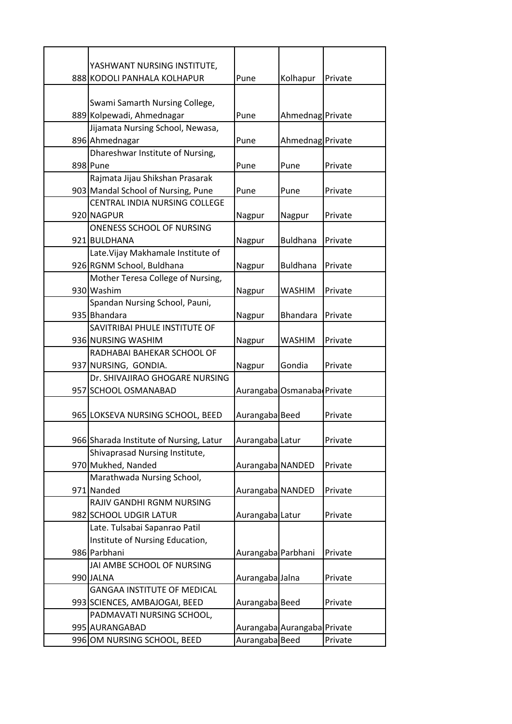| YASHWANT NURSING INSTITUTE,                                   |                    |                             |         |
|---------------------------------------------------------------|--------------------|-----------------------------|---------|
| 888 KODOLI PANHALA KOLHAPUR                                   | Pune               | Kolhapur                    | Private |
|                                                               |                    |                             |         |
| Swami Samarth Nursing College,                                |                    |                             |         |
| 889 Kolpewadi, Ahmednagar<br>Jijamata Nursing School, Newasa, | Pune               | Ahmednag Private            |         |
| 896 Ahmednagar                                                | Pune               | Ahmednag Private            |         |
| Dhareshwar Institute of Nursing,                              |                    |                             |         |
| 898 Pune                                                      | Pune               | Pune                        | Private |
| Rajmata Jijau Shikshan Prasarak                               |                    |                             |         |
| 903 Mandal School of Nursing, Pune                            | Pune               | Pune                        | Private |
| CENTRAL INDIA NURSING COLLEGE                                 |                    |                             |         |
| 920 NAGPUR                                                    | Nagpur             | Nagpur                      | Private |
| ONENESS SCHOOL OF NURSING                                     |                    |                             |         |
| 921 BULDHANA                                                  | Nagpur             | <b>Buldhana</b>             | Private |
| Late. Vijay Makhamale Institute of                            |                    |                             |         |
| 926 RGNM School, Buldhana                                     | Nagpur             | <b>Buldhana</b>             | Private |
| Mother Teresa College of Nursing,                             |                    |                             |         |
| 930 Washim                                                    | Nagpur             | <b>WASHIM</b>               | Private |
| Spandan Nursing School, Pauni,                                |                    |                             |         |
| 935 Bhandara                                                  | Nagpur             | <b>Bhandara</b>             | Private |
| SAVITRIBAI PHULE INSTITUTE OF                                 |                    |                             |         |
| 936 NURSING WASHIM                                            | Nagpur             | <b>WASHIM</b>               | Private |
| RADHABAI BAHEKAR SCHOOL OF                                    |                    |                             |         |
| 937 NURSING, GONDIA.                                          | Nagpur             | Gondia                      | Private |
| Dr. SHIVAJIRAO GHOGARE NURSING                                |                    |                             |         |
| 957 SCHOOL OSMANABAD                                          |                    | Aurangaba Osmanaba Private  |         |
| 965 LOKSEVA NURSING SCHOOL, BEED                              | Aurangaba Beed     |                             | Private |
|                                                               |                    |                             |         |
| 966 Sharada Institute of Nursing, Latur                       | Aurangaba Latur    |                             | Private |
| Shivaprasad Nursing Institute,                                |                    |                             |         |
| 970 Mukhed, Nanded                                            | Aurangaba NANDED   |                             | Private |
| Marathwada Nursing School,                                    |                    |                             |         |
| 971 Nanded                                                    | Aurangaba NANDED   |                             | Private |
| RAJIV GANDHI RGNM NURSING                                     |                    |                             |         |
| 982 SCHOOL UDGIR LATUR                                        | Aurangaba Latur    |                             | Private |
| Late. Tulsabai Sapanrao Patil                                 |                    |                             |         |
| Institute of Nursing Education,                               |                    |                             |         |
| 986 Parbhani                                                  | Aurangaba Parbhani |                             | Private |
| JAI AMBE SCHOOL OF NURSING                                    |                    |                             |         |
| 990 JALNA                                                     | Aurangaba Jalna    |                             | Private |
| <b>GANGAA INSTITUTE OF MEDICAL</b>                            |                    |                             |         |
| 993 SCIENCES, AMBAJOGAI, BEED                                 | Aurangaba Beed     |                             | Private |
| PADMAVATI NURSING SCHOOL,                                     |                    |                             |         |
| 995 AURANGABAD                                                |                    | Aurangaba Aurangaba Private |         |
| 996 OM NURSING SCHOOL, BEED                                   | Aurangaba Beed     |                             | Private |